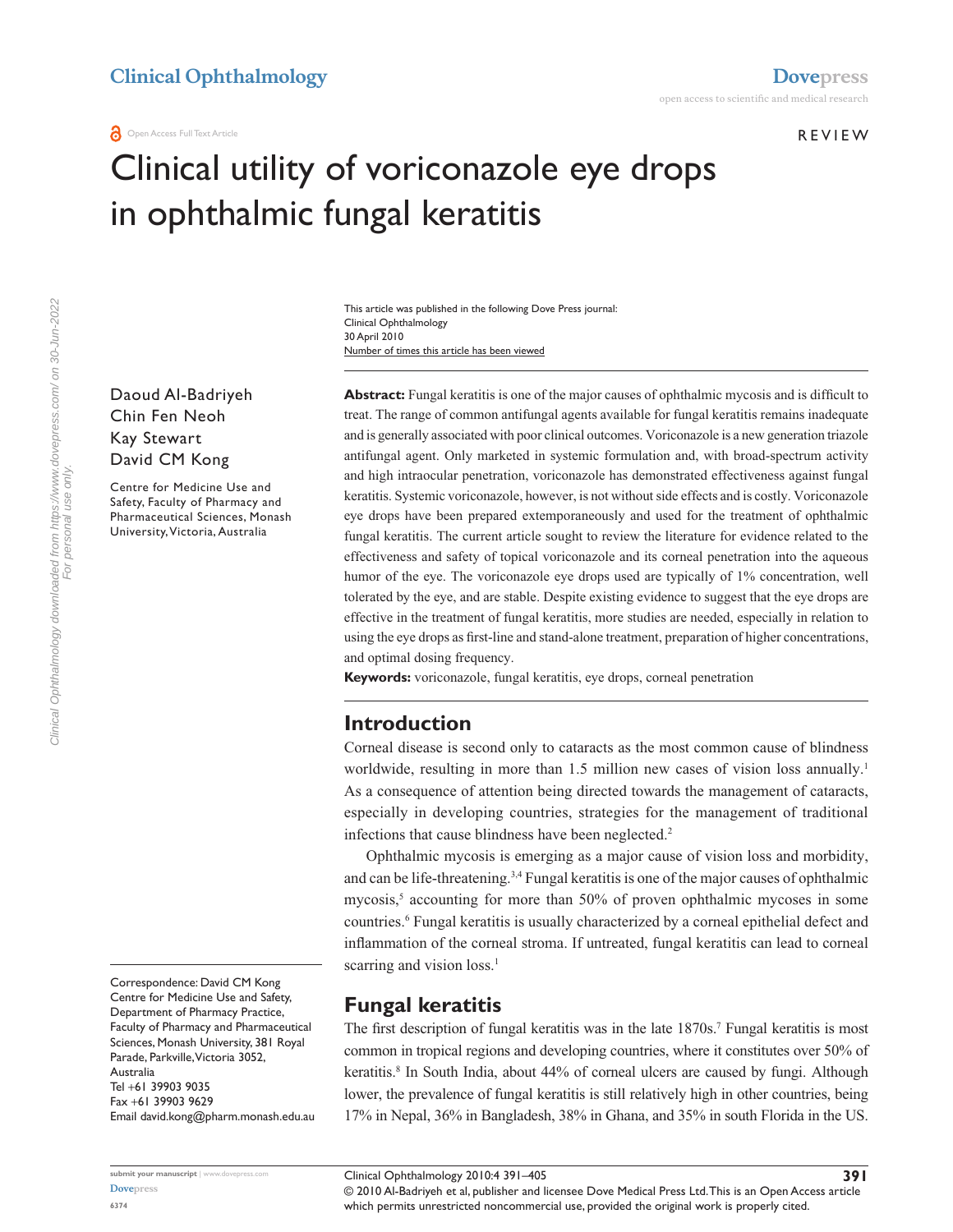**REVIEW** 

**391**

# Clinical utility of voriconazole eye drops in ophthalmic fungal keratitis

Number of times this article has been viewed This article was published in the following Dove Press journal: Clinical Ophthalmology 30 April 2010

**Abstract:** Fungal keratitis is one of the major causes of ophthalmic mycosis and is difficult to treat. The range of common antifungal agents available for fungal keratitis remains inadequate and is generally associated with poor clinical outcomes. Voriconazole is a new generation triazole antifungal agent. Only marketed in systemic formulation and, with broad-spectrum activity and high intraocular penetration, voriconazole has demonstrated effectiveness against fungal keratitis. Systemic voriconazole, however, is not without side effects and is costly. Voriconazole eye drops have been prepared extemporaneously and used for the treatment of ophthalmic fungal keratitis. The current article sought to review the literature for evidence related to the effectiveness and safety of topical voriconazole and its corneal penetration into the aqueous humor of the eye. The voriconazole eye drops used are typically of 1% concentration, well tolerated by the eye, and are stable. Despite existing evidence to suggest that the eye drops are effective in the treatment of fungal keratitis, more studies are needed, especially in relation to using the eye drops as first-line and stand-alone treatment, preparation of higher concentrations, and optimal dosing frequency.

**Keywords:** voriconazole, fungal keratitis, eye drops, corneal penetration

## **Introduction**

Corneal disease is second only to cataracts as the most common cause of blindness worldwide, resulting in more than 1.5 million new cases of vision loss annually.<sup>1</sup> As a consequence of attention being directed towards the management of cataracts, especially in developing countries, strategies for the management of traditional infections that cause blindness have been neglected.<sup>2</sup>

Ophthalmic mycosis is emerging as a major cause of vision loss and morbidity, and can be life-threatening.3,4 Fungal keratitis is one of the major causes of ophthalmic mycosis,<sup>5</sup> accounting for more than 50% of proven ophthalmic mycoses in some countries.<sup>6</sup> Fungal keratitis is usually characterized by a corneal epithelial defect and inflammation of the corneal stroma. If untreated, fungal keratitis can lead to corneal scarring and vision loss.<sup>1</sup>

# **Fungal keratitis**

The first description of fungal keratitis was in the late 1870s.<sup>7</sup> Fungal keratitis is most common in tropical regions and developing countries, where it constitutes over 50% of keratitis.<sup>8</sup> In South India, about 44% of corneal ulcers are caused by fungi. Although lower, the prevalence of fungal keratitis is still relatively high in other countries, being 17% in Nepal, 36% in Bangladesh, 38% in Ghana, and 35% in south Florida in the US.

# Daoud Al-Badriyeh Chin Fen Neoh Kay Stewart David CM Kong

Centre for Medicine Use and Safety, Faculty of Pharmacy and Pharmaceutical Sciences, Monash University, Victoria, Australia

Correspondence: David CM Kong Centre for Medicine Use and Safety, Department of Pharmacy Practice, Faculty of Pharmacy and Pharmaceutical Sciences, Monash University, 381 Royal Parade, Parkville, Victoria 3052, Australia Tel +61 39903 9035 Fax +61 39903 9629 Email david.kong@pharm.monash.edu.au

For personal use only.

Clinical Ophthalmology 2010:4 391–405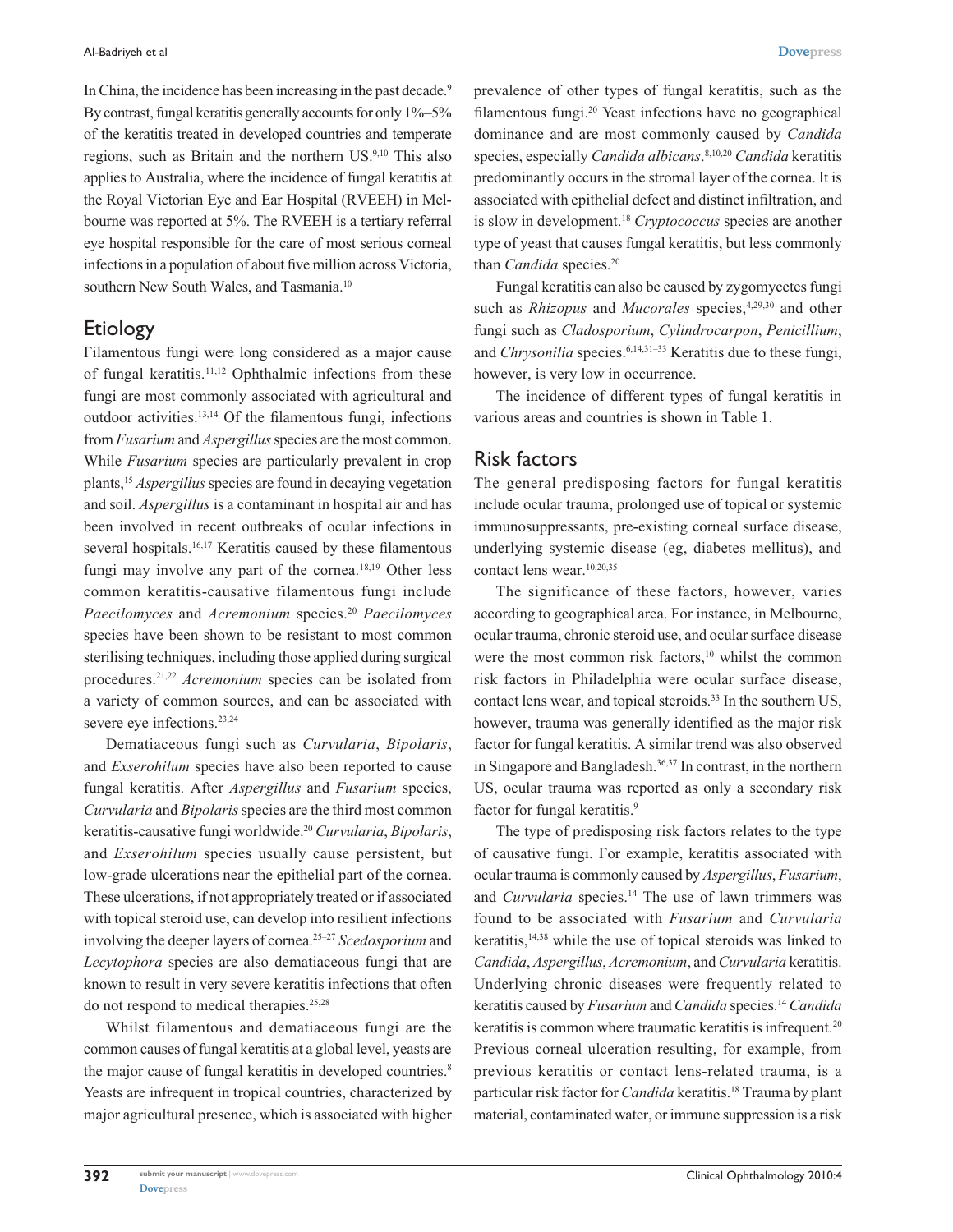In China, the incidence has been increasing in the past decade.<sup>9</sup> By contrast, fungal keratitis generally accounts for only  $1\% - 5\%$ of the keratitis treated in developed countries and temperate regions, such as Britain and the northern US.9,10 This also applies to Australia, where the incidence of fungal keratitis at the Royal Victorian Eye and Ear Hospital (RVEEH) in Melbourne was reported at 5%. The RVEEH is a tertiary referral eye hospital responsible for the care of most serious corneal infections in a population of about five million across Victoria, southern New South Wales, and Tasmania.<sup>10</sup>

#### **Etiology**

Filamentous fungi were long considered as a major cause of fungal keratitis.11,12 Ophthalmic infections from these fungi are most commonly associated with agricultural and outdoor activities.13,14 Of the filamentous fungi, infections from *Fusarium* and *Aspergillus* species are the most common. While *Fusarium* species are particularly prevalent in crop plants,15 *Aspergillus* species are found in decaying vegetation and soil. *Aspergillus* is a contaminant in hospital air and has been involved in recent outbreaks of ocular infections in several hospitals.<sup>16,17</sup> Keratitis caused by these filamentous fungi may involve any part of the cornea.<sup>18,19</sup> Other less common keratitis-causative filamentous fungi include *Paecilomyces* and *Acremonium* species.20 *Paecilomyces* species have been shown to be resistant to most common sterilising techniques, including those applied during surgical procedures.21,22 *Acremonium* species can be isolated from a variety of common sources, and can be associated with severe eye infections.<sup>23,24</sup>

Dematiaceous fungi such as *Curvularia*, *Bipolaris*, and *Exserohilum* species have also been reported to cause fungal keratitis. After *Aspergillus* and *Fusarium* species, *Curvularia* and *Bipolaris* species are the third most common keratitis-causative fungi worldwide.20 *Curvularia*, *Bipolaris*, and *Exserohilum* species usually cause persistent, but low-grade ulcerations near the epithelial part of the cornea. These ulcerations, if not appropriately treated or if associated with topical steroid use, can develop into resilient infections involving the deeper layers of cornea.25–27 *Scedosporium* and *Lecytophora* species are also dematiaceous fungi that are known to result in very severe keratitis infections that often do not respond to medical therapies.25,28

Whilst filamentous and dematiaceous fungi are the common causes of fungal keratitis at a global level, yeasts are the major cause of fungal keratitis in developed countries.<sup>8</sup> Yeasts are infrequent in tropical countries, characterized by major agricultural presence, which is associated with higher prevalence of other types of fungal keratitis, such as the filamentous fungi.20 Yeast infections have no geographical dominance and are most commonly caused by *Candida* species, especially *Candida albicans*. 8,10,20 *Candida* keratitis predominantly occurs in the stromal layer of the cornea. It is associated with epithelial defect and distinct infiltration, and is slow in development.18 *Cryptococcus* species are another type of yeast that causes fungal keratitis, but less commonly than *Candida* species.<sup>20</sup>

Fungal keratitis can also be caused by zygomycetes fungi such as *Rhizopus* and *Mucorales* species,<sup>4,29,30</sup> and other fungi such as *Cladosporium*, *Cylindrocarpon*, *Penicillium*, and *Chrysonilia* species.<sup>6,14,31–33</sup> Keratitis due to these fungi, however, is very low in occurrence.

The incidence of different types of fungal keratitis in various areas and countries is shown in Table 1.

#### Risk factors

The general predisposing factors for fungal keratitis include ocular trauma, prolonged use of topical or systemic immunosuppressants, pre-existing corneal surface disease, underlying systemic disease (eg, diabetes mellitus), and contact lens wear.<sup>10,20,35</sup>

The significance of these factors, however, varies according to geographical area. For instance, in Melbourne, ocular trauma, chronic steroid use, and ocular surface disease were the most common risk factors,<sup>10</sup> whilst the common risk factors in Philadelphia were ocular surface disease, contact lens wear, and topical steroids.<sup>33</sup> In the southern US, however, trauma was generally identified as the major risk factor for fungal keratitis. A similar trend was also observed in Singapore and Bangladesh.36,37 In contrast, in the northern US, ocular trauma was reported as only a secondary risk factor for fungal keratitis.<sup>9</sup>

The type of predisposing risk factors relates to the type of causative fungi. For example, keratitis associated with ocular trauma is commonly caused by *Aspergillus*, *Fusarium*, and *Curvularia* species.<sup>14</sup> The use of lawn trimmers was found to be associated with *Fusarium* and *Curvularia* keratitis,14,38 while the use of topical steroids was linked to *Candida*, *Aspergillus*, *Acremonium*, and *Curvularia* keratitis. Underlying chronic diseases were frequently related to keratitis caused by *Fusarium* and *Candida* species.14 *Candida* keratitis is common where traumatic keratitis is infrequent.<sup>20</sup> Previous corneal ulceration resulting, for example, from previous keratitis or contact lens-related trauma, is a particular risk factor for *Candida* keratitis.18 Trauma by plant material, contaminated water, or immune suppression is a risk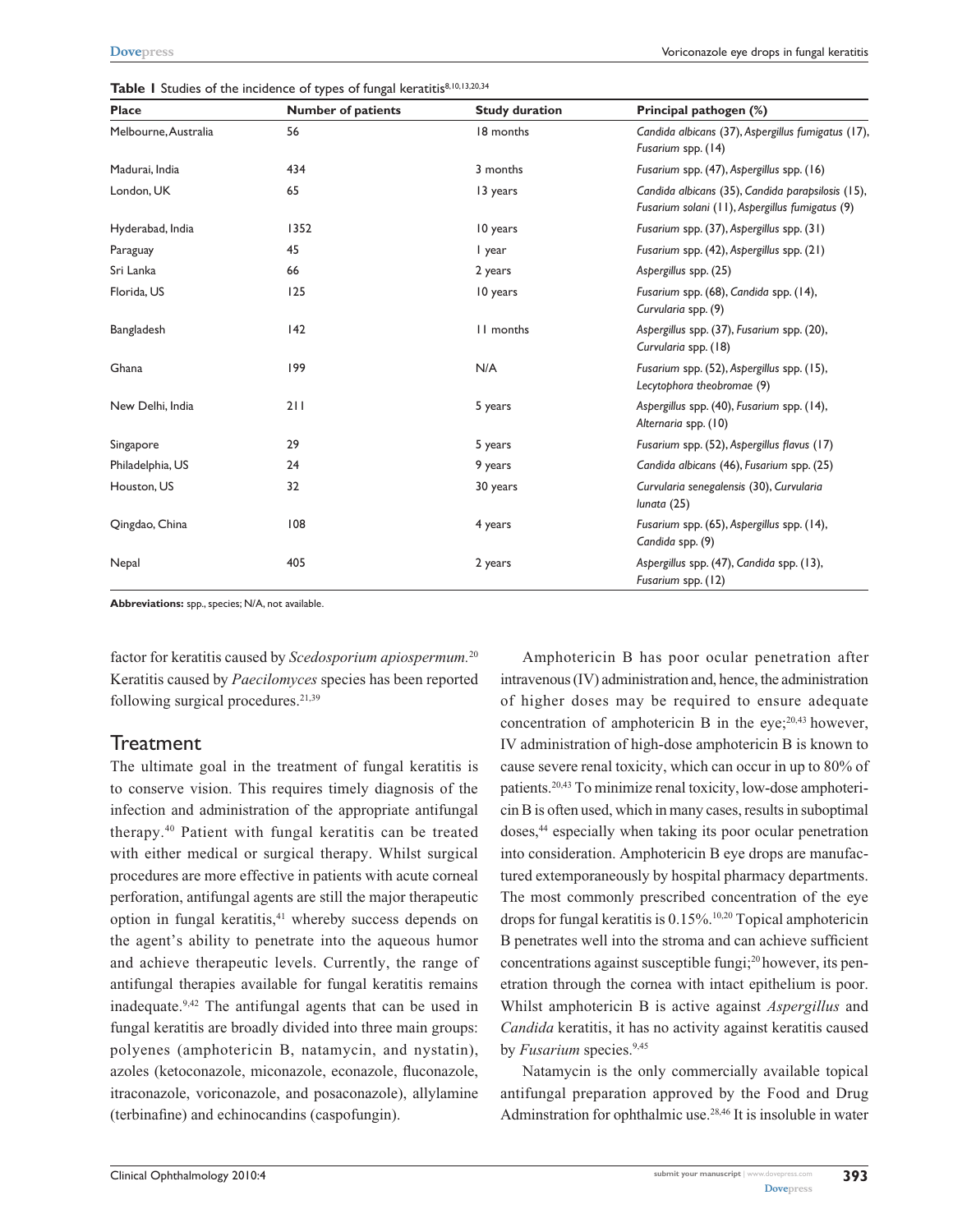| <b>Place</b>         | <b>Number of patients</b> | <b>Study duration</b>                                                                 | Principal pathogen (%)                                                                               |  |
|----------------------|---------------------------|---------------------------------------------------------------------------------------|------------------------------------------------------------------------------------------------------|--|
| Melbourne, Australia | 56                        | 18 months<br>Candida albicans (37), Aspergillus fumigatus (17),<br>Fusarium spp. (14) |                                                                                                      |  |
| Madurai, India       | 434                       | 3 months                                                                              | Fusarium spp. (47), Aspergillus spp. (16)                                                            |  |
| London, UK           | 65                        | 13 years                                                                              | Candida albicans (35), Candida parapsilosis (15),<br>Fusarium solani (11), Aspergillus fumigatus (9) |  |
| Hyderabad, India     | 1352                      | 10 years                                                                              | Fusarium spp. (37), Aspergillus spp. (31)                                                            |  |
| Paraguay             | 45                        | I year                                                                                | Fusarium spp. (42), Aspergillus spp. (21)                                                            |  |
| Sri Lanka            | 66                        | 2 years                                                                               | Aspergillus spp. (25)                                                                                |  |
| Florida, US          | 125                       | 10 years                                                                              | Fusarium spp. (68), Candida spp. (14),<br>Curvularia spp. (9)                                        |  |
| Bangladesh           | 142                       | 11 months                                                                             | Aspergillus spp. (37), Fusarium spp. (20),<br>Curvularia spp. (18)                                   |  |
| Ghana                | 199                       | N/A                                                                                   | Fusarium spp. (52), Aspergillus spp. (15),<br>Lecytophora theobromae (9)                             |  |
| New Delhi, India     | 211                       | 5 years                                                                               | Aspergillus spp. (40), Fusarium spp. (14),<br>Alternaria spp. (10)                                   |  |
| Singapore            | 29                        | 5 years                                                                               | Fusarium spp. (52), Aspergillus flavus (17)                                                          |  |
| Philadelphia, US     | 24                        | 9 years                                                                               | Candida albicans (46), Fusarium spp. (25)                                                            |  |
| Houston, US          | 32                        | 30 years                                                                              | Curvularia senegalensis (30), Curvularia<br>lunata (25)                                              |  |
| Qingdao, China       | 108                       | 4 years                                                                               | Fusarium spp. (65), Aspergillus spp. (14),<br>Candida spp. (9)                                       |  |
| Nepal                | 405                       | 2 years                                                                               | Aspergillus spp. (47), Candida spp. (13),<br>Fusarium spp. (12)                                      |  |

Table I Studies of the incidence of types of fungal keratitis<sup>8,10,13,20,34</sup>

**Abbreviations:** spp., species; N/A, not available.

factor for keratitis caused by *Scedosporium apiospermum.*<sup>20</sup> Keratitis caused by *Paecilomyces* species has been reported following surgical procedures. $21,39$ 

## **Treatment**

The ultimate goal in the treatment of fungal keratitis is to conserve vision. This requires timely diagnosis of the infection and administration of the appropriate antifungal therapy.40 Patient with fungal keratitis can be treated with either medical or surgical therapy. Whilst surgical procedures are more effective in patients with acute corneal perforation, antifungal agents are still the major therapeutic option in fungal keratitis,<sup>41</sup> whereby success depends on the agent's ability to penetrate into the aqueous humor and achieve therapeutic levels. Currently, the range of antifungal therapies available for fungal keratitis remains inadequate.9,42 The antifungal agents that can be used in fungal keratitis are broadly divided into three main groups: polyenes (amphotericin B, natamycin, and nystatin), azoles (ketoconazole, miconazole, econazole, fluconazole, itraconazole, voriconazole, and posaconazole), allylamine (terbinafine) and echinocandins (caspofungin).

Amphotericin B has poor ocular penetration after intravenous (IV) administration and, hence, the administration of higher doses may be required to ensure adequate concentration of amphotericin B in the eye; $20,43$  however, IV administration of high-dose amphotericin B is known to cause severe renal toxicity, which can occur in up to 80% of patients.20,43 To minimize renal toxicity, low-dose amphotericin B is often used, which in many cases, results in suboptimal doses,<sup>44</sup> especially when taking its poor ocular penetration into consideration. Amphotericin B eye drops are manufactured extemporaneously by hospital pharmacy departments. The most commonly prescribed concentration of the eye drops for fungal keratitis is 0.15%.10,20 Topical amphotericin B penetrates well into the stroma and can achieve sufficient concentrations against susceptible fungi;<sup>20</sup> however, its penetration through the cornea with intact epithelium is poor. Whilst amphotericin B is active against *Aspergillus* and *Candida* keratitis, it has no activity against keratitis caused by *Fusarium* species.<sup>9,45</sup>

Natamycin is the only commercially available topical antifungal preparation approved by the Food and Drug Adminstration for ophthalmic use.28,46 It is insoluble in water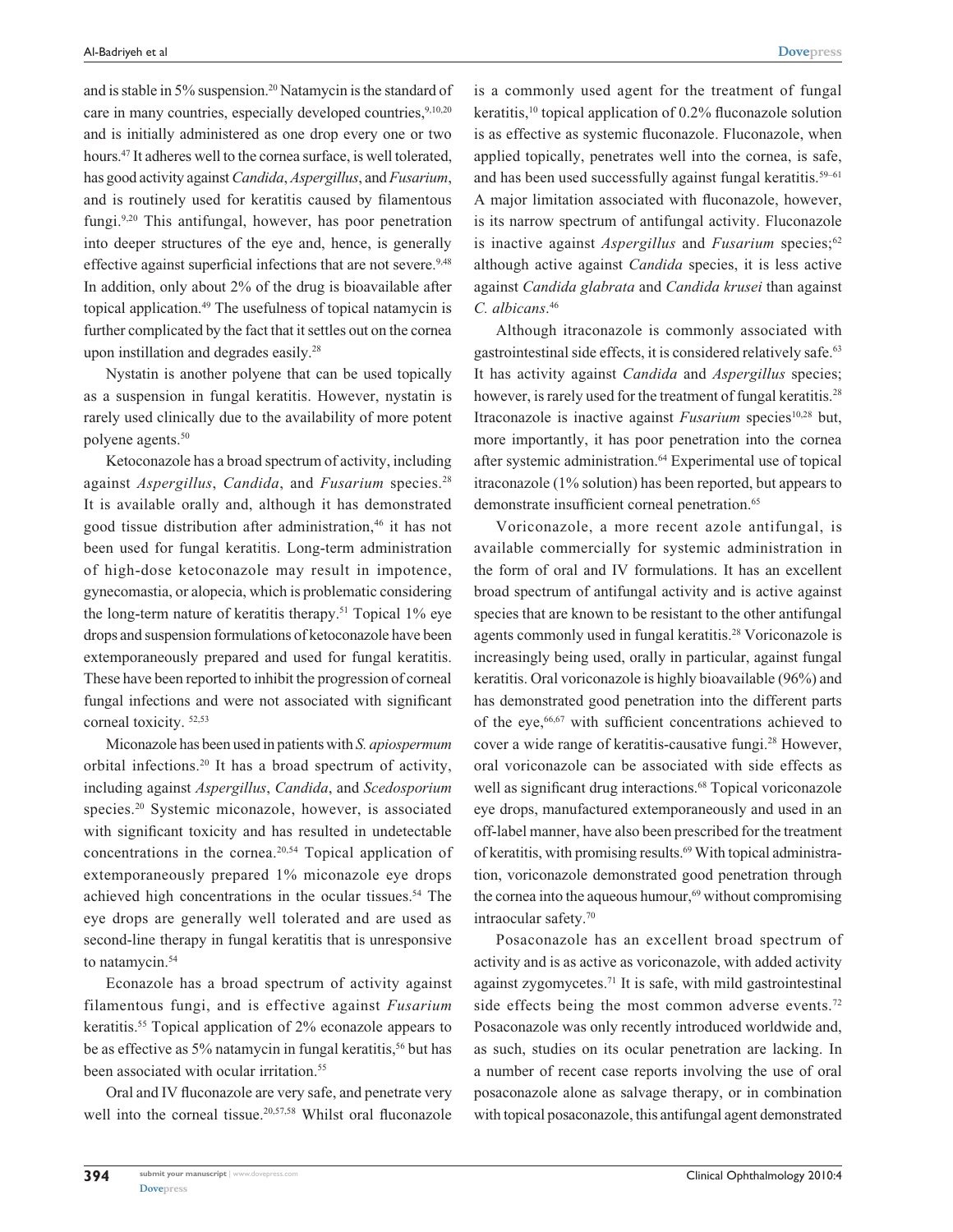and is stable in 5% suspension.<sup>20</sup> Natamycin is the standard of care in many countries, especially developed countries, 9,10,20 and is initially administered as one drop every one or two hours.<sup>47</sup> It adheres well to the cornea surface, is well tolerated, has good activity against *Candida*, *Aspergillus*, and *Fusarium*, and is routinely used for keratitis caused by filamentous fungi.9,20 This antifungal, however, has poor penetration into deeper structures of the eye and, hence, is generally effective against superficial infections that are not severe.<sup>9,48</sup> In addition, only about 2% of the drug is bioavailable after topical application.49 The usefulness of topical natamycin is further complicated by the fact that it settles out on the cornea upon instillation and degrades easily.28

Nystatin is another polyene that can be used topically as a suspension in fungal keratitis. However, nystatin is rarely used clinically due to the availability of more potent polyene agents.<sup>50</sup>

Ketoconazole has a broad spectrum of activity, including against *Aspergillus*, *Candida*, and *Fusarium* species.28 It is available orally and, although it has demonstrated good tissue distribution after administration,<sup>46</sup> it has not been used for fungal keratitis. Long-term administration of high-dose ketoconazole may result in impotence, gynecomastia, or alopecia, which is problematic considering the long-term nature of keratitis therapy.51 Topical 1% eye drops and suspension formulations of ketoconazole have been extemporaneously prepared and used for fungal keratitis. These have been reported to inhibit the progression of corneal fungal infections and were not associated with significant corneal toxicity. 52,53

Miconazole has been used in patients with *S. apiospermum* orbital infections.20 It has a broad spectrum of activity, including against *Aspergillus*, *Candida*, and *Scedosporium* species.20 Systemic miconazole, however, is associated with significant toxicity and has resulted in undetectable concentrations in the cornea.20,54 Topical application of extemporaneously prepared 1% miconazole eye drops achieved high concentrations in the ocular tissues.<sup>54</sup> The eye drops are generally well tolerated and are used as second-line therapy in fungal keratitis that is unresponsive to natamycin.<sup>54</sup>

Econazole has a broad spectrum of activity against filamentous fungi, and is effective against *Fusarium* keratitis.<sup>55</sup> Topical application of 2% econazole appears to be as effective as 5% natamycin in fungal keratitis,<sup>56</sup> but has been associated with ocular irritation.<sup>55</sup>

Oral and IV fluconazole are very safe, and penetrate very well into the corneal tissue.<sup>20,57,58</sup> Whilst oral fluconazole is a commonly used agent for the treatment of fungal keratitis,<sup>10</sup> topical application of 0.2% fluconazole solution is as effective as systemic fluconazole. Fluconazole, when applied topically, penetrates well into the cornea, is safe, and has been used successfully against fungal keratitis.<sup>59–61</sup> A major limitation associated with fluconazole, however, is its narrow spectrum of antifungal activity. Fluconazole is inactive against *Aspergillus* and *Fusarium* species;<sup>62</sup> although active against *Candida* species, it is less active against *Candida glabrata* and *Candida krusei* than against *C. albicans*. 46

Although itraconazole is commonly associated with gastrointestinal side effects, it is considered relatively safe.<sup>63</sup> It has activity against *Candida* and *Aspergillus* species; however, is rarely used for the treatment of fungal keratitis.<sup>28</sup> Itraconazole is inactive against *Fusarium* species<sup>10,28</sup> but, more importantly, it has poor penetration into the cornea after systemic administration.<sup>64</sup> Experimental use of topical itraconazole (1% solution) has been reported, but appears to demonstrate insufficient corneal penetration.<sup>65</sup>

Voriconazole, a more recent azole antifungal, is available commercially for systemic administration in the form of oral and IV formulations. It has an excellent broad spectrum of antifungal activity and is active against species that are known to be resistant to the other antifungal agents commonly used in fungal keratitis.<sup>28</sup> Voriconazole is increasingly being used, orally in particular, against fungal keratitis. Oral voriconazole is highly bioavailable (96%) and has demonstrated good penetration into the different parts of the eye,<sup>66,67</sup> with sufficient concentrations achieved to cover a wide range of keratitis-causative fungi.28 However, oral voriconazole can be associated with side effects as well as significant drug interactions.<sup>68</sup> Topical voriconazole eye drops, manufactured extemporaneously and used in an off-label manner, have also been prescribed for the treatment of keratitis, with promising results.69 With topical administration, voriconazole demonstrated good penetration through the cornea into the aqueous humour,<sup>69</sup> without compromising intraocular safety.70

Posaconazole has an excellent broad spectrum of activity and is as active as voriconazole, with added activity against zygomycetes.71 It is safe, with mild gastrointestinal side effects being the most common adverse events.<sup>72</sup> Posaconazole was only recently introduced worldwide and, as such, studies on its ocular penetration are lacking. In a number of recent case reports involving the use of oral posaconazole alone as salvage therapy, or in combination with topical posaconazole, this antifungal agent demonstrated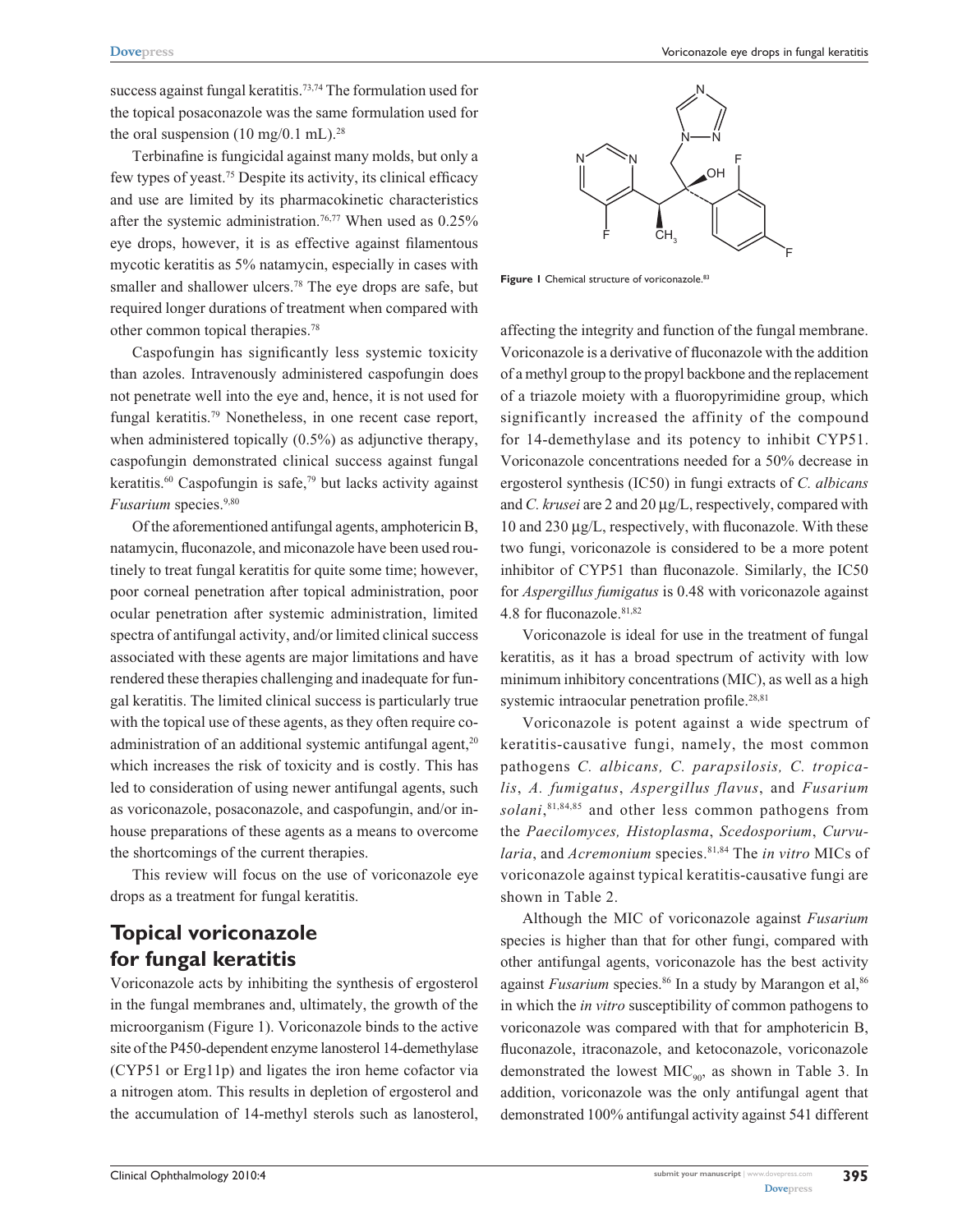success against fungal keratitis.<sup>73,74</sup> The formulation used for the topical posaconazole was the same formulation used for the oral suspension  $(10 \text{ mg}/0.1 \text{ mL})$ .<sup>28</sup>

Terbinafine is fungicidal against many molds, but only a few types of yeast.75 Despite its activity, its clinical efficacy and use are limited by its pharmacokinetic characteristics after the systemic administration.<sup>76,77</sup> When used as  $0.25\%$ eye drops, however, it is as effective against filamentous mycotic keratitis as 5% natamycin, especially in cases with smaller and shallower ulcers.<sup>78</sup> The eye drops are safe, but required longer durations of treatment when compared with other common topical therapies.78

Caspofungin has significantly less systemic toxicity than azoles. Intravenously administered caspofungin does not penetrate well into the eye and, hence, it is not used for fungal keratitis.<sup>79</sup> Nonetheless, in one recent case report, when administered topically  $(0.5\%)$  as adjunctive therapy, caspofungin demonstrated clinical success against fungal keratitis. $60$  Caspofungin is safe,<sup>79</sup> but lacks activity against *Fusarium* species.<sup>9,80</sup>

Of the aforementioned antifungal agents, amphotericin B, natamycin, fluconazole, and miconazole have been used routinely to treat fungal keratitis for quite some time; however, poor corneal penetration after topical administration, poor ocular penetration after systemic administration, limited spectra of antifungal activity, and/or limited clinical success associated with these agents are major limitations and have rendered these therapies challenging and inadequate for fungal keratitis. The limited clinical success is particularly true with the topical use of these agents, as they often require coadministration of an additional systemic antifungal agent, $20$ which increases the risk of toxicity and is costly. This has led to consideration of using newer antifungal agents, such as voriconazole, posaconazole, and caspofungin, and/or inhouse preparations of these agents as a means to overcome the shortcomings of the current therapies.

This review will focus on the use of voriconazole eye drops as a treatment for fungal keratitis.

# **Topical voriconazole for fungal keratitis**

Voriconazole acts by inhibiting the synthesis of ergosterol in the fungal membranes and, ultimately, the growth of the microorganism (Figure 1). Voriconazole binds to the active site of the P450-dependent enzyme lanosterol 14-demethylase (CYP51 or Erg11p) and ligates the iron heme cofactor via a nitrogen atom. This results in depletion of ergosterol and the accumulation of 14-methyl sterols such as lanosterol,



Figure 1 Chemical structure of voriconazole.<sup>83</sup>

affecting the integrity and function of the fungal membrane. Voriconazole is a derivative of fluconazole with the addition of a methyl group to the propyl backbone and the replacement of a triazole moiety with a fluoropyrimidine group, which significantly increased the affinity of the compound for 14-demethylase and its potency to inhibit CYP51. Voriconazole concentrations needed for a 50% decrease in ergosterol synthesis (IC50) in fungi extracts of *C. albicans* and *C. krusei* are 2 and 20  $\mu$ g/L, respectively, compared with 10 and  $230 \mu g/L$ , respectively, with fluconazole. With these two fungi, voriconazole is considered to be a more potent inhibitor of CYP51 than fluconazole. Similarly, the IC50 for *Aspergillus fumigatus* is 0.48 with voriconazole against 4.8 for fluconazole.81,82

Voriconazole is ideal for use in the treatment of fungal keratitis, as it has a broad spectrum of activity with low minimum inhibitory concentrations (MIC), as well as a high systemic intraocular penetration profile.<sup>28,81</sup>

Voriconazole is potent against a wide spectrum of keratitis-causative fungi, namely, the most common pathogens *C. albicans, C. parapsilosis, C. tropicalis*, *A. fumigatus*, *Aspergillus flavus*, and *Fusarium solani*, 81,84,85 and other less common pathogens from the *Paecilomyces, Histoplasma*, *Scedosporium*, *Curvularia*, and *Acremonium* species.81,84 The *in vitro* MICs of voriconazole against typical keratitis-causative fungi are shown in Table 2.

Although the MIC of voriconazole against *Fusarium* species is higher than that for other fungi, compared with other antifungal agents, voriconazole has the best activity against *Fusarium* species.<sup>86</sup> In a study by Marangon et al,<sup>86</sup> in which the *in vitro* susceptibility of common pathogens to voriconazole was compared with that for amphotericin B, fluconazole, itraconazole, and ketoconazole, voriconazole demonstrated the lowest  $MIC<sub>oo</sub>$ , as shown in Table 3. In addition, voriconazole was the only antifungal agent that demonstrated 100% antifungal activity against 541 different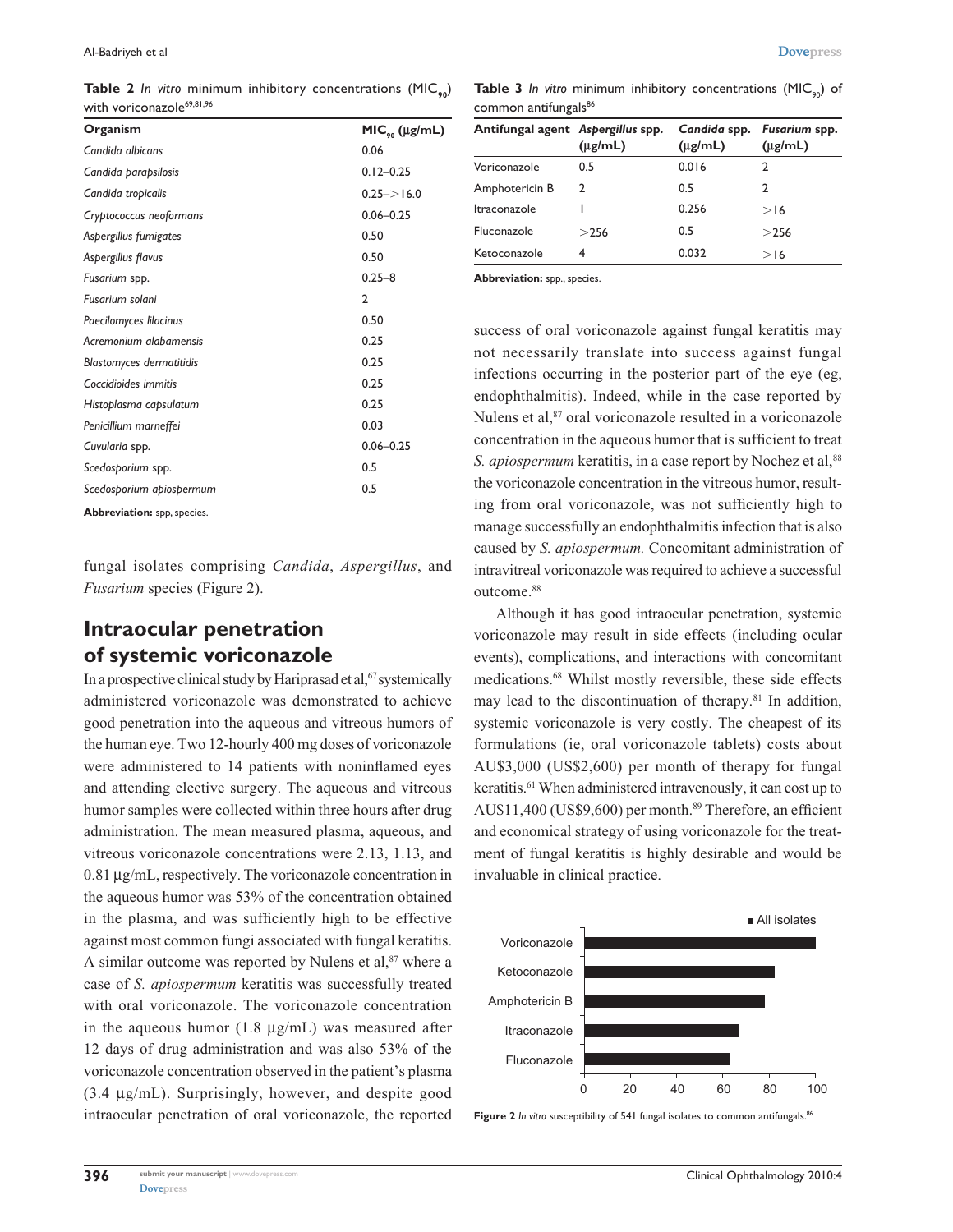Table 2 *In vitro* minimum inhibitory concentrations (MIC<sub>90</sub>) with voriconazole<sup>69,81,96</sup>

| WILII VUI ILUHALUIT             |                                       |
|---------------------------------|---------------------------------------|
| Organism                        | $MIC_{\scriptscriptstyle 90}$ (µg/mL) |
| Candida albicans                | 0.06                                  |
| Candida parapsilosis            | $0.12 - 0.25$                         |
| Candida tropicalis              | $0.25 - > 16.0$                       |
| Cryptococcus neoformans         | $0.06 - 0.25$                         |
| Aspergillus fumigates           | 0.50                                  |
| Aspergillus flavus              | 0.50                                  |
| Fusarium spp.                   | $0.25 - 8$                            |
| Fusarium solani                 | $\mathfrak{p}$                        |
| Paecilomyces lilacinus          | 0.50                                  |
| Acremonium alabamensis          | 0.25                                  |
| <b>Blastomyces dermatitidis</b> | 0.25                                  |
| Coccidioides immitis            | 0.25                                  |
| Histoplasma capsulatum          | 0.25                                  |
| Penicillium marneffei           | 0.03                                  |
| Cuvularia spp.                  | $0.06 - 0.25$                         |
| Scedosporium spp.               | 0.5                                   |
| Scedosporium apiospermum        | 0.5                                   |
|                                 |                                       |

**Abbreviation:** spp, species.

fungal isolates comprising *Candida*, *Aspergillus*, and *Fusarium* species (Figure 2).

# **Intraocular penetration of systemic voriconazole**

In a prospective clinical study by Hariprasad et al,  $67$  systemically administered voriconazole was demonstrated to achieve good penetration into the aqueous and vitreous humors of the human eye. Two 12-hourly 400 mg doses of voriconazole were administered to 14 patients with noninflamed eyes and attending elective surgery. The aqueous and vitreous humor samples were collected within three hours after drug administration. The mean measured plasma, aqueous, and vitreous voriconazole concentrations were 2.13, 1.13, and 0.81 µg/mL, respectively. The voriconazole concentration in the aqueous humor was 53% of the concentration obtained in the plasma, and was sufficiently high to be effective against most common fungi associated with fungal keratitis. A similar outcome was reported by Nulens et al, $87$  where a case of *S. apiospermum* keratitis was successfully treated with oral voriconazole. The voriconazole concentration in the aqueous humor  $(1.8 \mu g/mL)$  was measured after 12 days of drug administration and was also 53% of the voriconazole concentration observed in the patient's plasma (3.4 µg/mL). Surprisingly, however, and despite good intraocular penetration of oral voriconazole, the reported

**Table 3** *In vitro* minimum inhibitory concentrations (MIC<sub>90</sub>) of common antifungals<sup>86</sup>

| Antifungal agent Aspergillus spp. |               | Candida spp. | Fusarium spp. |
|-----------------------------------|---------------|--------------|---------------|
|                                   | $(\mu g/mL)$  | $(\mu g/mL)$ | $(\mu g/mL)$  |
| Voriconazole                      | 0.5           | 0.016        |               |
| Amphotericin B                    | $\mathcal{P}$ | 0.5          | 2             |
| Itraconazole                      |               | 0.256        | >16           |
| Fluconazole                       | >256          | 0.5          | >256          |
| Ketoconazole                      | 4             | 0.032        | >16           |

**Abbreviation:** spp., species.

success of oral voriconazole against fungal keratitis may not necessarily translate into success against fungal infections occurring in the posterior part of the eye (eg, endophthalmitis). Indeed, while in the case reported by Nulens et al,<sup>87</sup> oral voriconazole resulted in a voriconazole concentration in the aqueous humor that is sufficient to treat *S. apiospermum* keratitis, in a case report by Nochez et al,<sup>88</sup> the voriconazole concentration in the vitreous humor, resulting from oral voriconazole, was not sufficiently high to manage successfully an endophthalmitis infection that is also caused by *S. apiospermum.* Concomitant administration of intravitreal voriconazole was required to achieve a successful outcome.88

Although it has good intraocular penetration, systemic voriconazole may result in side effects (including ocular events), complications, and interactions with concomitant medications.68 Whilst mostly reversible, these side effects may lead to the discontinuation of therapy.<sup>81</sup> In addition, systemic voriconazole is very costly. The cheapest of its formulations (ie, oral voriconazole tablets) costs about AU\$3,000 (US\$2,600) per month of therapy for fungal keratitis.<sup>61</sup> When administered intravenously, it can cost up to AU\$11,400 (US\$9,600) per month.<sup>89</sup> Therefore, an efficient and economical strategy of using voriconazole for the treatment of fungal keratitis is highly desirable and would be invaluable in clinical practice.



Figure 2 *In vitro* susceptibility of 541 fungal isolates to common antifungals.<sup>86</sup>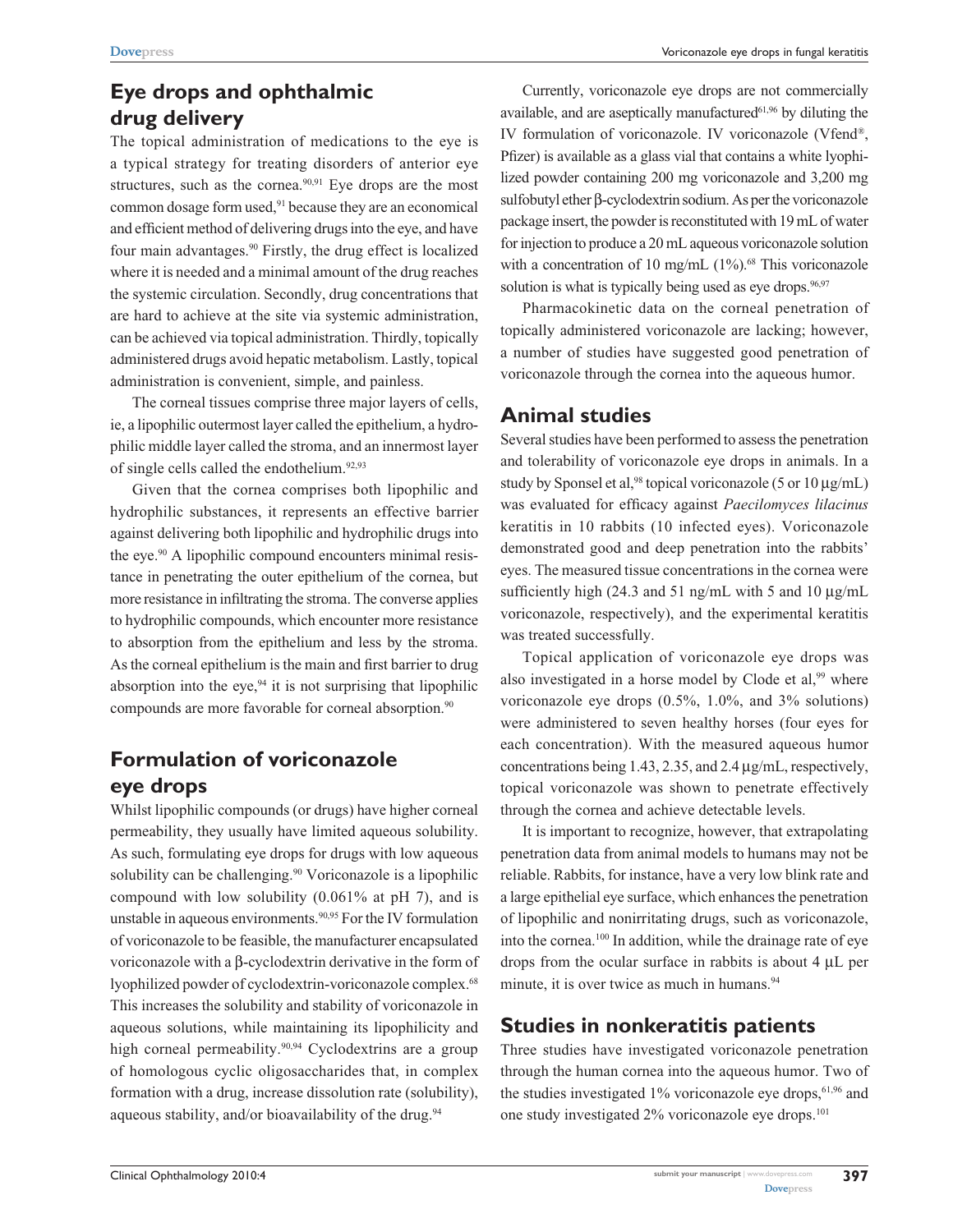The topical administration of medications to the eye is a typical strategy for treating disorders of anterior eye structures, such as the cornea. $90,91$  Eye drops are the most common dosage form used, $91$  because they are an economical and efficient method of delivering drugs into the eye, and have four main advantages.90 Firstly, the drug effect is localized where it is needed and a minimal amount of the drug reaches the systemic circulation. Secondly, drug concentrations that are hard to achieve at the site via systemic administration, can be achieved via topical administration. Thirdly, topically administered drugs avoid hepatic metabolism. Lastly, topical administration is convenient, simple, and painless.

The corneal tissues comprise three major layers of cells, ie, a lipophilic outermost layer called the epithelium, a hydrophilic middle layer called the stroma, and an innermost layer of single cells called the endothelium.<sup>92,93</sup>

Given that the cornea comprises both lipophilic and hydrophilic substances, it represents an effective barrier against delivering both lipophilic and hydrophilic drugs into the eye.<sup>90</sup> A lipophilic compound encounters minimal resistance in penetrating the outer epithelium of the cornea, but more resistance in infiltrating the stroma. The converse applies to hydrophilic compounds, which encounter more resistance to absorption from the epithelium and less by the stroma. As the corneal epithelium is the main and first barrier to drug absorption into the eye, $94$  it is not surprising that lipophilic compounds are more favorable for corneal absorption.<sup>90</sup>

# **Formulation of voriconazole eye drops**

Whilst lipophilic compounds (or drugs) have higher corneal permeability, they usually have limited aqueous solubility. As such, formulating eye drops for drugs with low aqueous solubility can be challenging.<sup>90</sup> Voriconazole is a lipophilic compound with low solubility (0.061% at pH 7), and is unstable in aqueous environments.<sup>90,95</sup> For the IV formulation of voriconazole to be feasible, the manufacturer encapsulated voriconazole with a β-cyclodextrin derivative in the form of lyophilized powder of cyclodextrin-voriconazole complex.<sup>68</sup> This increases the solubility and stability of voriconazole in aqueous solutions, while maintaining its lipophilicity and high corneal permeability.<sup>90,94</sup> Cyclodextrins are a group of homologous cyclic oligosaccharides that, in complex formation with a drug, increase dissolution rate (solubility), aqueous stability, and/or bioavailability of the drug.<sup>94</sup>

Currently, voriconazole eye drops are not commercially available, and are aseptically manufactured $61,96$  by diluting the IV formulation of voriconazole. IV voriconazole (Vfend®, Pfizer) is available as a glass vial that contains a white lyophilized powder containing 200 mg voriconazole and 3,200 mg sulfobutyl ether β-cyclodextrin sodium. As per the voriconazole package insert, the powder is reconstituted with 19 mL of water for injection to produce a 20 mL aqueous voriconazole solution with a concentration of 10 mg/mL (1%).<sup>68</sup> This voriconazole solution is what is typically being used as eye drops. $96,97$ 

Pharmacokinetic data on the corneal penetration of topically administered voriconazole are lacking; however, a number of studies have suggested good penetration of voriconazole through the cornea into the aqueous humor.

# **Animal studies**

Several studies have been performed to assess the penetration and tolerability of voriconazole eye drops in animals. In a study by Sponsel et al,<sup>98</sup> topical voriconazole (5 or 10  $\mu$ g/mL) was evaluated for efficacy against *Paecilomyces lilacinus* keratitis in 10 rabbits (10 infected eyes). Voriconazole demonstrated good and deep penetration into the rabbits' eyes. The measured tissue concentrations in the cornea were sufficiently high (24.3 and 51 ng/mL with 5 and 10  $\mu$ g/mL voriconazole, respectively), and the experimental keratitis was treated successfully.

Topical application of voriconazole eye drops was also investigated in a horse model by Clode et  $al$ ,<sup>99</sup> where voriconazole eye drops (0.5%, 1.0%, and 3% solutions) were administered to seven healthy horses (four eyes for each concentration). With the measured aqueous humor concentrations being 1.43, 2.35, and 2.4 µg/mL, respectively, topical voriconazole was shown to penetrate effectively through the cornea and achieve detectable levels.

It is important to recognize, however, that extrapolating penetration data from animal models to humans may not be reliable. Rabbits, for instance, have a very low blink rate and a large epithelial eye surface, which enhances the penetration of lipophilic and nonirritating drugs, such as voriconazole, into the cornea.100 In addition, while the drainage rate of eye drops from the ocular surface in rabbits is about 4 µL per minute, it is over twice as much in humans.<sup>94</sup>

# **Studies in nonkeratitis patients**

Three studies have investigated voriconazole penetration through the human cornea into the aqueous humor. Two of the studies investigated  $1\%$  voriconazole eye drops,  $61,96$  and one study investigated 2% voriconazole eye drops.101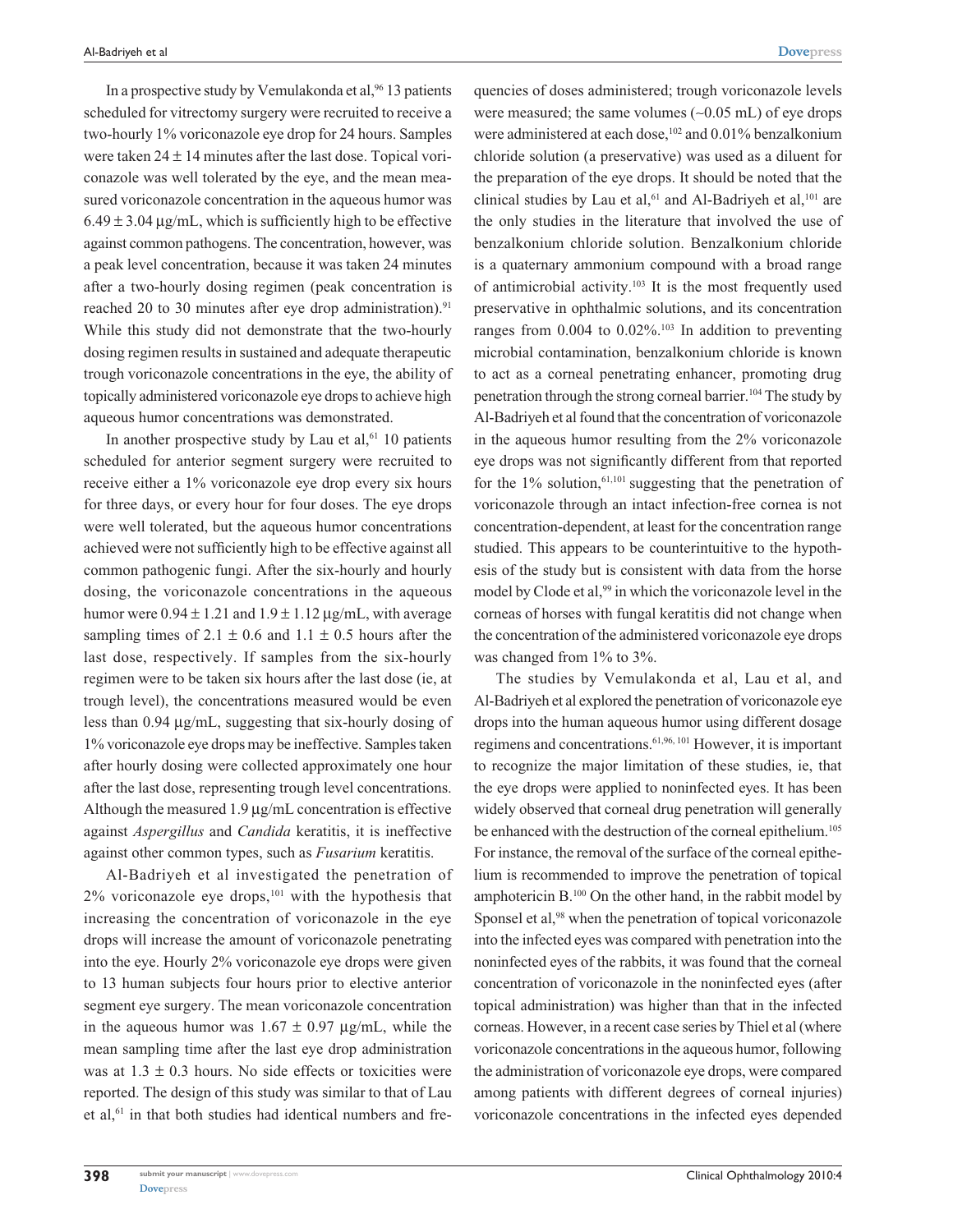In a prospective study by Vemulakonda et al,  $96$  13 patients scheduled for vitrectomy surgery were recruited to receive a two-hourly 1% voriconazole eye drop for 24 hours. Samples were taken  $24 \pm 14$  minutes after the last dose. Topical voriconazole was well tolerated by the eye, and the mean measured voriconazole concentration in the aqueous humor was  $6.49 \pm 3.04 \,\mu$ g/mL, which is sufficiently high to be effective against common pathogens. The concentration, however, was a peak level concentration, because it was taken 24 minutes after a two-hourly dosing regimen (peak concentration is reached 20 to 30 minutes after eye drop administration).<sup>91</sup> While this study did not demonstrate that the two-hourly dosing regimen results in sustained and adequate therapeutic trough voriconazole concentrations in the eye, the ability of topically administered voriconazole eye drops to achieve high aqueous humor concentrations was demonstrated.

In another prospective study by Lau et al,  $61$  10 patients scheduled for anterior segment surgery were recruited to receive either a 1% voriconazole eye drop every six hours for three days, or every hour for four doses. The eye drops were well tolerated, but the aqueous humor concentrations achieved were not sufficiently high to be effective against all common pathogenic fungi. After the six-hourly and hourly dosing, the voriconazole concentrations in the aqueous humor were  $0.94 \pm 1.21$  and  $1.9 \pm 1.12$  µg/mL, with average sampling times of 2.1  $\pm$  0.6 and 1.1  $\pm$  0.5 hours after the last dose, respectively. If samples from the six-hourly regimen were to be taken six hours after the last dose (ie, at trough level), the concentrations measured would be even less than 0.94 µg/mL, suggesting that six-hourly dosing of 1% voriconazole eye drops may be ineffective. Samples taken after hourly dosing were collected approximately one hour after the last dose, representing trough level concentrations. Although the measured 1.9 µg/mL concentration is effective against *Aspergillus* and *Candida* keratitis, it is ineffective against other common types, such as *Fusarium* keratitis.

Al-Badriyeh et al investigated the penetration of  $2\%$  voriconazole eye drops,<sup>101</sup> with the hypothesis that increasing the concentration of voriconazole in the eye drops will increase the amount of voriconazole penetrating into the eye. Hourly 2% voriconazole eye drops were given to 13 human subjects four hours prior to elective anterior segment eye surgery. The mean voriconazole concentration in the aqueous humor was  $1.67 \pm 0.97$   $\mu$ g/mL, while the mean sampling time after the last eye drop administration was at  $1.3 \pm 0.3$  hours. No side effects or toxicities were reported. The design of this study was similar to that of Lau et al,<sup>61</sup> in that both studies had identical numbers and frequencies of doses administered; trough voriconazole levels were measured; the same volumes (∼0.05 mL) of eye drops were administered at each dose,<sup>102</sup> and 0.01% benzalkonium chloride solution (a preservative) was used as a diluent for the preparation of the eye drops. It should be noted that the clinical studies by Lau et al, $61$  and Al-Badriyeh et al, $101$  are the only studies in the literature that involved the use of benzalkonium chloride solution. Benzalkonium chloride is a quaternary ammonium compound with a broad range of antimicrobial activity.103 It is the most frequently used preservative in ophthalmic solutions, and its concentration ranges from 0.004 to 0.02%.<sup>103</sup> In addition to preventing microbial contamination, benzalkonium chloride is known to act as a corneal penetrating enhancer, promoting drug penetration through the strong corneal barrier.<sup>104</sup> The study by Al-Badriyeh et al found that the concentration of voriconazole in the aqueous humor resulting from the 2% voriconazole eye drops was not significantly different from that reported for the  $1\%$  solution,<sup>61,101</sup> suggesting that the penetration of voriconazole through an intact infection-free cornea is not concentration-dependent, at least for the concentration range studied. This appears to be counterintuitive to the hypothesis of the study but is consistent with data from the horse model by Clode et al,<sup>99</sup> in which the voriconazole level in the corneas of horses with fungal keratitis did not change when the concentration of the administered voriconazole eye drops was changed from 1% to 3%.

The studies by Vemulakonda et al, Lau et al, and Al-Badriyeh et al explored the penetration of voriconazole eye drops into the human aqueous humor using different dosage regimens and concentrations.61,96, 101 However, it is important to recognize the major limitation of these studies, ie, that the eye drops were applied to noninfected eyes. It has been widely observed that corneal drug penetration will generally be enhanced with the destruction of the corneal epithelium.<sup>105</sup> For instance, the removal of the surface of the corneal epithelium is recommended to improve the penetration of topical amphotericin B.100 On the other hand, in the rabbit model by Sponsel et al,<sup>98</sup> when the penetration of topical voriconazole into the infected eyes was compared with penetration into the noninfected eyes of the rabbits, it was found that the corneal concentration of voriconazole in the noninfected eyes (after topical administration) was higher than that in the infected corneas. However, in a recent case series by Thiel et al (where voriconazole concentrations in the aqueous humor, following the administration of voriconazole eye drops, were compared among patients with different degrees of corneal injuries) voriconazole concentrations in the infected eyes depended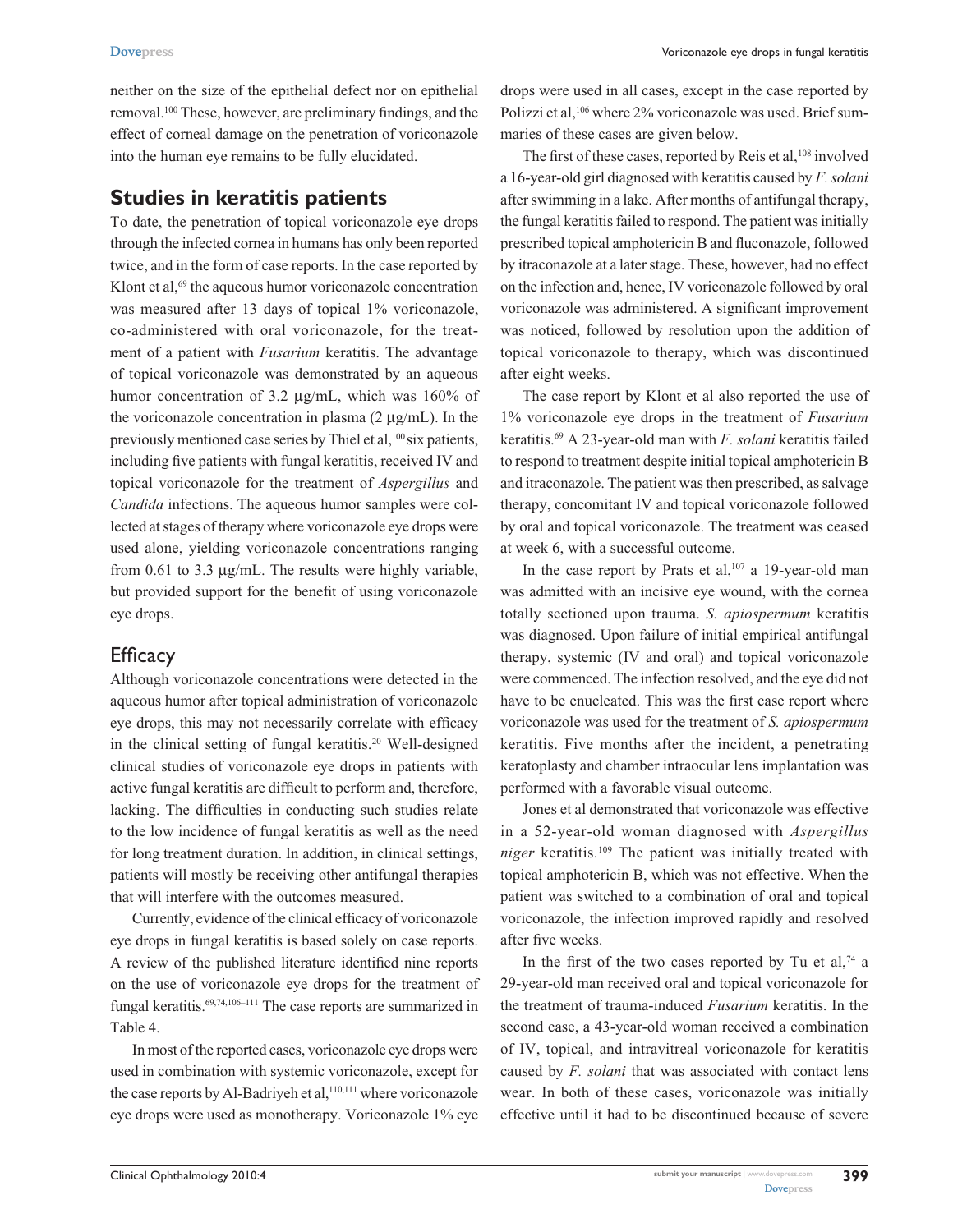neither on the size of the epithelial defect nor on epithelial removal.100 These, however, are preliminary findings, and the effect of corneal damage on the penetration of voriconazole into the human eye remains to be fully elucidated.

# **Studies in keratitis patients**

To date, the penetration of topical voriconazole eye drops through the infected cornea in humans has only been reported twice, and in the form of case reports. In the case reported by Klont et al,<sup>69</sup> the aqueous humor voriconazole concentration was measured after 13 days of topical 1% voriconazole, co-administered with oral voriconazole, for the treatment of a patient with *Fusarium* keratitis. The advantage of topical voriconazole was demonstrated by an aqueous humor concentration of 3.2 µg/mL, which was 160% of the voriconazole concentration in plasma  $(2 \mu g/mL)$ . In the previously mentioned case series by Thiel et al, <sup>100</sup> six patients, including five patients with fungal keratitis, received IV and topical voriconazole for the treatment of *Aspergillus* and *Candida* infections. The aqueous humor samples were collected at stages of therapy where voriconazole eye drops were used alone, yielding voriconazole concentrations ranging from 0.61 to 3.3 µg/mL. The results were highly variable, but provided support for the benefit of using voriconazole eye drops.

# **Efficacy**

Although voriconazole concentrations were detected in the aqueous humor after topical administration of voriconazole eye drops, this may not necessarily correlate with efficacy in the clinical setting of fungal keratitis.<sup>20</sup> Well-designed clinical studies of voriconazole eye drops in patients with active fungal keratitis are difficult to perform and, therefore, lacking. The difficulties in conducting such studies relate to the low incidence of fungal keratitis as well as the need for long treatment duration. In addition, in clinical settings, patients will mostly be receiving other antifungal therapies that will interfere with the outcomes measured.

Currently, evidence of the clinical efficacy of voriconazole eye drops in fungal keratitis is based solely on case reports. A review of the published literature identified nine reports on the use of voriconazole eye drops for the treatment of fungal keratitis.69,74,106–111 The case reports are summarized in Table 4.

In most of the reported cases, voriconazole eye drops were used in combination with systemic voriconazole, except for the case reports by Al-Badriyeh et al,<sup>110,111</sup> where voriconazole eye drops were used as monotherapy. Voriconazole 1% eye drops were used in all cases, except in the case reported by Polizzi et al,<sup>106</sup> where 2% voriconazole was used. Brief summaries of these cases are given below.

The first of these cases, reported by Reis et al,<sup>108</sup> involved a 16-year-old girl diagnosed with keratitis caused by *F. solani* after swimming in a lake. After months of antifungal therapy, the fungal keratitis failed to respond. The patient was initially prescribed topical amphotericin B and fluconazole, followed by itraconazole at a later stage. These, however, had no effect on the infection and, hence, IV voriconazole followed by oral voriconazole was administered. A significant improvement was noticed, followed by resolution upon the addition of topical voriconazole to therapy, which was discontinued after eight weeks.

The case report by Klont et al also reported the use of 1% voriconazole eye drops in the treatment of *Fusarium* keratitis.69 A 23-year-old man with *F. solani* keratitis failed to respond to treatment despite initial topical amphotericin B and itraconazole. The patient was then prescribed, as salvage therapy, concomitant IV and topical voriconazole followed by oral and topical voriconazole. The treatment was ceased at week 6, with a successful outcome.

In the case report by Prats et al, $107$  a 19-year-old man was admitted with an incisive eye wound, with the cornea totally sectioned upon trauma. *S. apiospermum* keratitis was diagnosed. Upon failure of initial empirical antifungal therapy, systemic (IV and oral) and topical voriconazole were commenced. The infection resolved, and the eye did not have to be enucleated. This was the first case report where voriconazole was used for the treatment of *S. apiospermum* keratitis. Five months after the incident, a penetrating keratoplasty and chamber intraocular lens implantation was performed with a favorable visual outcome.

Jones et al demonstrated that voriconazole was effective in a 52-year-old woman diagnosed with *Aspergillus niger* keratitis.109 The patient was initially treated with topical amphotericin B, which was not effective. When the patient was switched to a combination of oral and topical voriconazole, the infection improved rapidly and resolved after five weeks.

In the first of the two cases reported by Tu et al, $74$  a 29-year-old man received oral and topical voriconazole for the treatment of trauma-induced *Fusarium* keratitis. In the second case, a 43-year-old woman received a combination of IV, topical, and intravitreal voriconazole for keratitis caused by *F. solani* that was associated with contact lens wear. In both of these cases, voriconazole was initially effective until it had to be discontinued because of severe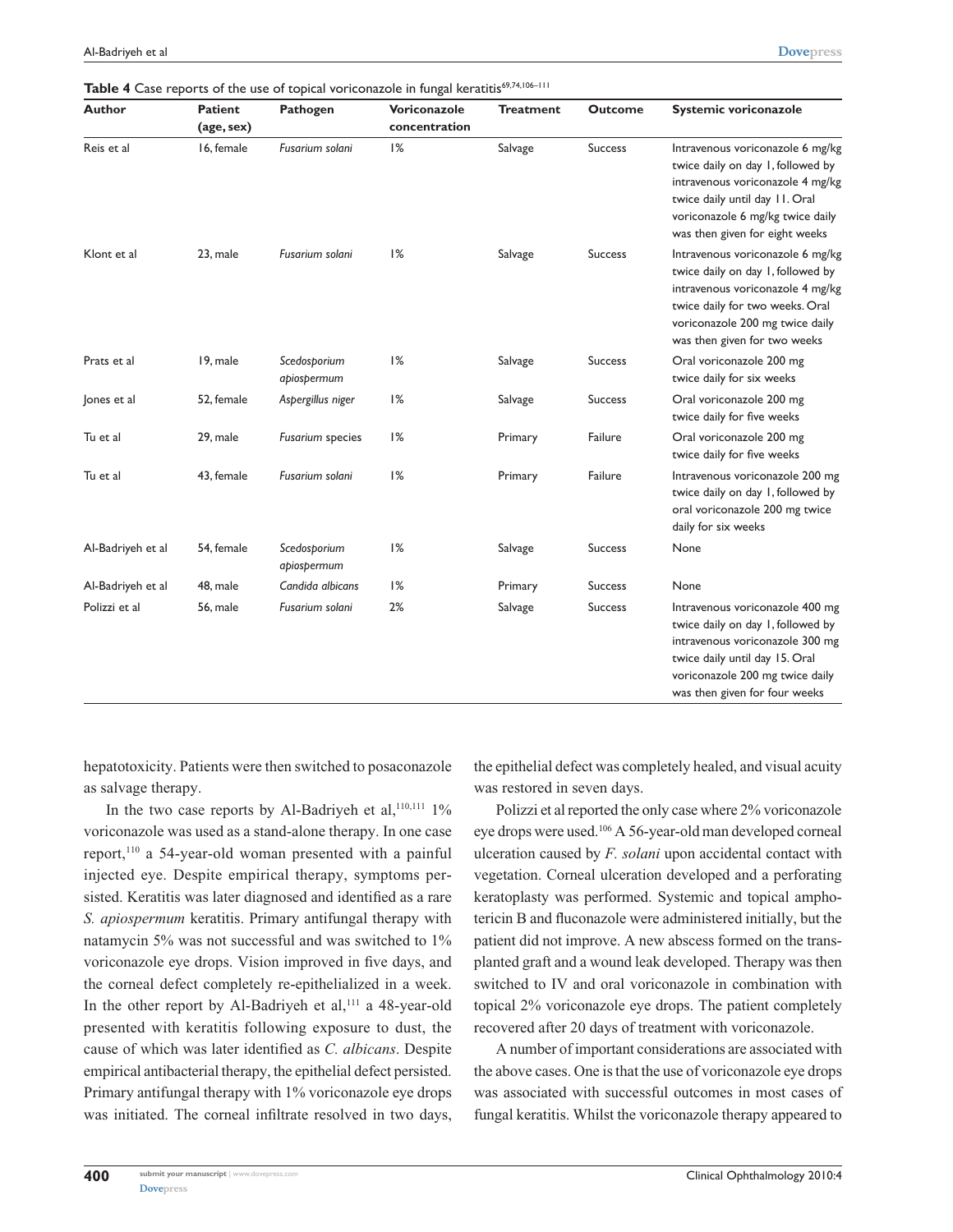| <b>Author</b>     | <b>Patient</b> | Pathogen                    | Voriconazole<br>concentration | <b>Treatment</b> | <b>Outcome</b> | Systemic voriconazole                                                                                                                                                                                             |
|-------------------|----------------|-----------------------------|-------------------------------|------------------|----------------|-------------------------------------------------------------------------------------------------------------------------------------------------------------------------------------------------------------------|
|                   | (age, sex)     |                             |                               |                  |                |                                                                                                                                                                                                                   |
| Reis et al        | 16, female     | Fusarium solani             | 1%                            | Salvage          | <b>Success</b> | Intravenous voriconazole 6 mg/kg<br>twice daily on day 1, followed by<br>intravenous voriconazole 4 mg/kg<br>twice daily until day 11. Oral<br>voriconazole 6 mg/kg twice daily<br>was then given for eight weeks |
| Klont et al       | 23, male       | Fusarium solani             | 1%                            | Salvage          | <b>Success</b> | Intravenous voriconazole 6 mg/kg<br>twice daily on day 1, followed by<br>intravenous voriconazole 4 mg/kg<br>twice daily for two weeks. Oral<br>voriconazole 200 mg twice daily<br>was then given for two weeks   |
| Prats et al       | 19, male       | Scedosporium<br>apiospermum | 1%                            | Salvage          | <b>Success</b> | Oral voriconazole 200 mg<br>twice daily for six weeks                                                                                                                                                             |
| Jones et al       | 52, female     | Aspergillus niger           | 1%                            | Salvage          | <b>Success</b> | Oral voriconazole 200 mg<br>twice daily for five weeks                                                                                                                                                            |
| Tu et al          | 29, male       | <b>Fusarium</b> species     | 1%                            | Primary          | Failure        | Oral voriconazole 200 mg<br>twice daily for five weeks                                                                                                                                                            |
| Tu et al          | 43, female     | Fusarium solani             | 1%                            | Primary          | Failure        | Intravenous voriconazole 200 mg<br>twice daily on day 1, followed by<br>oral voriconazole 200 mg twice<br>daily for six weeks                                                                                     |
| Al-Badriyeh et al | 54, female     | Scedosporium<br>apiospermum | 1%                            | Salvage          | <b>Success</b> | None                                                                                                                                                                                                              |
| Al-Badriyeh et al | 48, male       | Candida albicans            | 1%                            | Primary          | <b>Success</b> | None                                                                                                                                                                                                              |
| Polizzi et al     | 56, male       | Fusarium solani             | 2%                            | Salvage          | <b>Success</b> | Intravenous voriconazole 400 mg<br>twice daily on day 1, followed by<br>intravenous voriconazole 300 mg<br>twice daily until day 15. Oral<br>voriconazole 200 mg twice daily<br>was then given for four weeks     |

**Table 4** Case reports of the use of topical voriconazole in fungal keratitis<sup>69,74,106–111</sup>

hepatotoxicity. Patients were then switched to posaconazole as salvage therapy.

In the two case reports by Al-Badriyeh et al,<sup>110,111</sup> 1% voriconazole was used as a stand-alone therapy. In one case report,110 a 54-year-old woman presented with a painful injected eye. Despite empirical therapy, symptoms persisted. Keratitis was later diagnosed and identified as a rare *S. apiospermum* keratitis. Primary antifungal therapy with natamycin 5% was not successful and was switched to 1% voriconazole eye drops. Vision improved in five days, and the corneal defect completely re-epithelialized in a week. In the other report by Al-Badriyeh et al,<sup>111</sup> a 48-year-old presented with keratitis following exposure to dust, the cause of which was later identified as *C. albicans*. Despite empirical antibacterial therapy, the epithelial defect persisted. Primary antifungal therapy with 1% voriconazole eye drops was initiated. The corneal infiltrate resolved in two days,

the epithelial defect was completely healed, and visual acuity was restored in seven days.

Polizzi et al reported the only case where 2% voriconazole eye drops were used.106 A 56-year-old man developed corneal ulceration caused by *F. solani* upon accidental contact with vegetation. Corneal ulceration developed and a perforating keratoplasty was performed. Systemic and topical amphotericin B and fluconazole were administered initially, but the patient did not improve. A new abscess formed on the transplanted graft and a wound leak developed. Therapy was then switched to IV and oral voriconazole in combination with topical 2% voriconazole eye drops. The patient completely recovered after 20 days of treatment with voriconazole.

A number of important considerations are associated with the above cases. One is that the use of voriconazole eye drops was associated with successful outcomes in most cases of fungal keratitis. Whilst the voriconazole therapy appeared to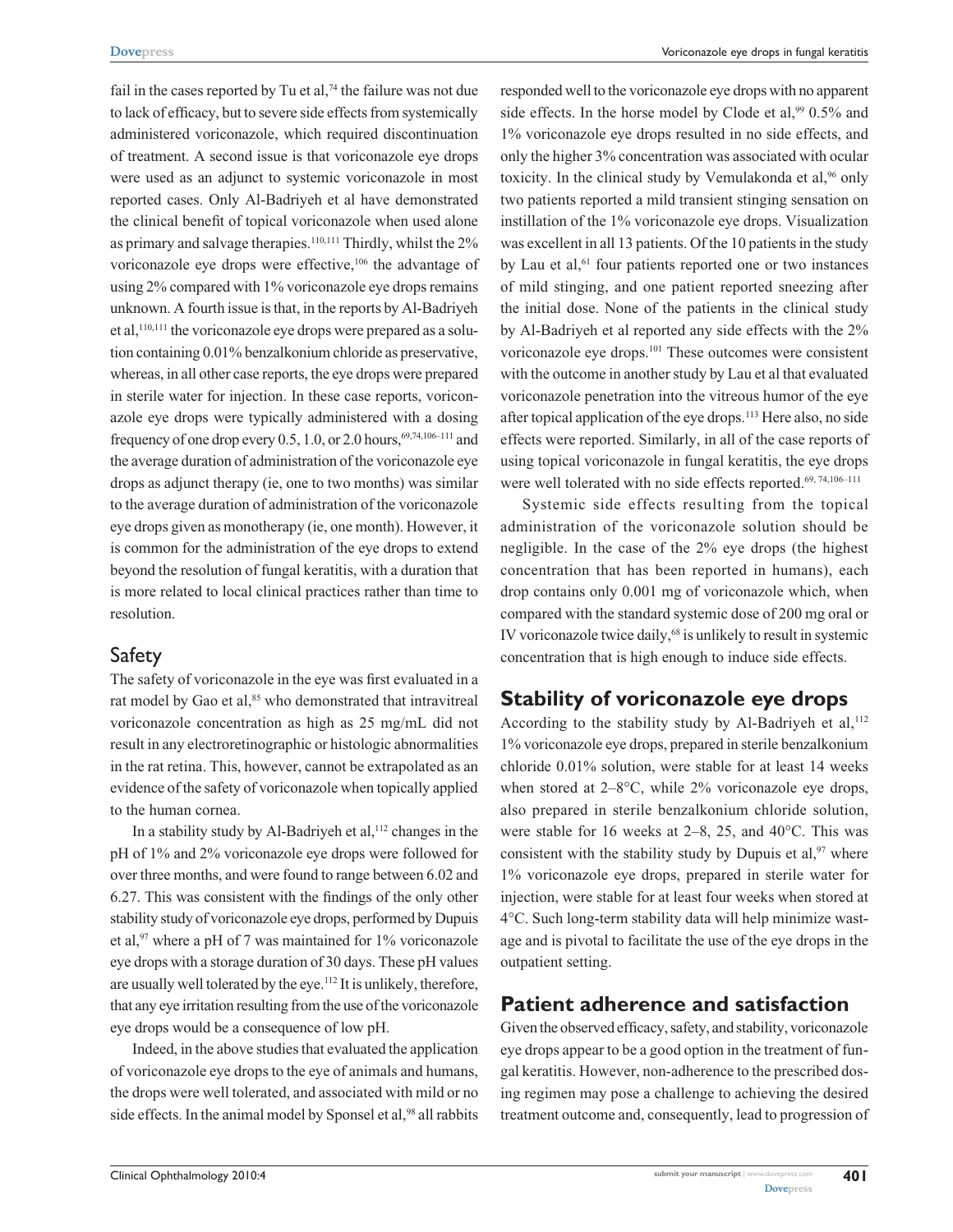fail in the cases reported by Tu et al,<sup>74</sup> the failure was not due to lack of efficacy, but to severe side effects from systemically administered voriconazole, which required discontinuation of treatment. A second issue is that voriconazole eye drops were used as an adjunct to systemic voriconazole in most reported cases. Only Al-Badriyeh et al have demonstrated the clinical benefit of topical voriconazole when used alone as primary and salvage therapies.<sup>110,111</sup> Thirdly, whilst the  $2\%$ voriconazole eye drops were effective,<sup>106</sup> the advantage of using 2% compared with 1% voriconazole eye drops remains unknown. A fourth issue is that, in the reports by Al-Badriyeh et al,110,111 the voriconazole eye drops were prepared as a solution containing 0.01% benzalkonium chloride as preservative, whereas, in all other case reports, the eye drops were prepared in sterile water for injection. In these case reports, voriconazole eye drops were typically administered with a dosing frequency of one drop every 0.5, 1.0, or 2.0 hours,  $69,74,106-111$  and the average duration of administration of the voriconazole eye drops as adjunct therapy (ie, one to two months) was similar to the average duration of administration of the voriconazole eye drops given as monotherapy (ie, one month). However, it is common for the administration of the eye drops to extend beyond the resolution of fungal keratitis, with a duration that is more related to local clinical practices rather than time to resolution.

#### Safety

The safety of voriconazole in the eye was first evaluated in a rat model by Gao et al,<sup>85</sup> who demonstrated that intravitreal voriconazole concentration as high as 25 mg/mL did not result in any electroretinographic or histologic abnormalities in the rat retina. This, however, cannot be extrapolated as an evidence of the safety of voriconazole when topically applied to the human cornea.

In a stability study by Al-Badriyeh et al, $^{112}$  changes in the pH of 1% and 2% voriconazole eye drops were followed for over three months, and were found to range between 6.02 and 6.27. This was consistent with the findings of the only other stability study of voriconazole eye drops, performed by Dupuis et al,<sup>97</sup> where a pH of 7 was maintained for 1% voriconazole eye drops with a storage duration of 30 days. These pH values are usually well tolerated by the eye.<sup>112</sup> It is unlikely, therefore, that any eye irritation resulting from the use of the voriconazole eye drops would be a consequence of low pH.

Indeed, in the above studies that evaluated the application of voriconazole eye drops to the eye of animals and humans, the drops were well tolerated, and associated with mild or no side effects. In the animal model by Sponsel et al,<sup>98</sup> all rabbits responded well to the voriconazole eye drops with no apparent side effects. In the horse model by Clode et al,<sup>99</sup> 0.5% and 1% voriconazole eye drops resulted in no side effects, and only the higher 3% concentration was associated with ocular toxicity. In the clinical study by Vemulakonda et al,<sup>96</sup> only two patients reported a mild transient stinging sensation on instillation of the 1% voriconazole eye drops. Visualization was excellent in all 13 patients. Of the 10 patients in the study by Lau et al, $61$  four patients reported one or two instances of mild stinging, and one patient reported sneezing after the initial dose. None of the patients in the clinical study by Al-Badriyeh et al reported any side effects with the 2% voriconazole eye drops.<sup>101</sup> These outcomes were consistent with the outcome in another study by Lau et al that evaluated voriconazole penetration into the vitreous humor of the eye after topical application of the eye drops.113 Here also, no side effects were reported. Similarly, in all of the case reports of using topical voriconazole in fungal keratitis, the eye drops were well tolerated with no side effects reported.<sup>69, 74,106–111</sup>

Systemic side effects resulting from the topical administration of the voriconazole solution should be negligible. In the case of the 2% eye drops (the highest concentration that has been reported in humans), each drop contains only 0.001 mg of voriconazole which, when compared with the standard systemic dose of 200 mg oral or IV voriconazole twice daily,<sup>68</sup> is unlikely to result in systemic concentration that is high enough to induce side effects.

## **Stability of voriconazole eye drops**

According to the stability study by Al-Badriyeh et al, $112$ 1% voriconazole eye drops, prepared in sterile benzalkonium chloride 0.01% solution, were stable for at least 14 weeks when stored at  $2-8$ °C, while  $2\%$  voriconazole eye drops, also prepared in sterile benzalkonium chloride solution, were stable for 16 weeks at 2–8, 25, and 40°C. This was consistent with the stability study by Dupuis et al,  $97$  where 1% voriconazole eye drops, prepared in sterile water for injection, were stable for at least four weeks when stored at 4°C. Such long-term stability data will help minimize wastage and is pivotal to facilitate the use of the eye drops in the outpatient setting.

## **Patient adherence and satisfaction**

Given the observed efficacy, safety, and stability, voriconazole eye drops appear to be a good option in the treatment of fungal keratitis. However, non-adherence to the prescribed dosing regimen may pose a challenge to achieving the desired treatment outcome and, consequently, lead to progression of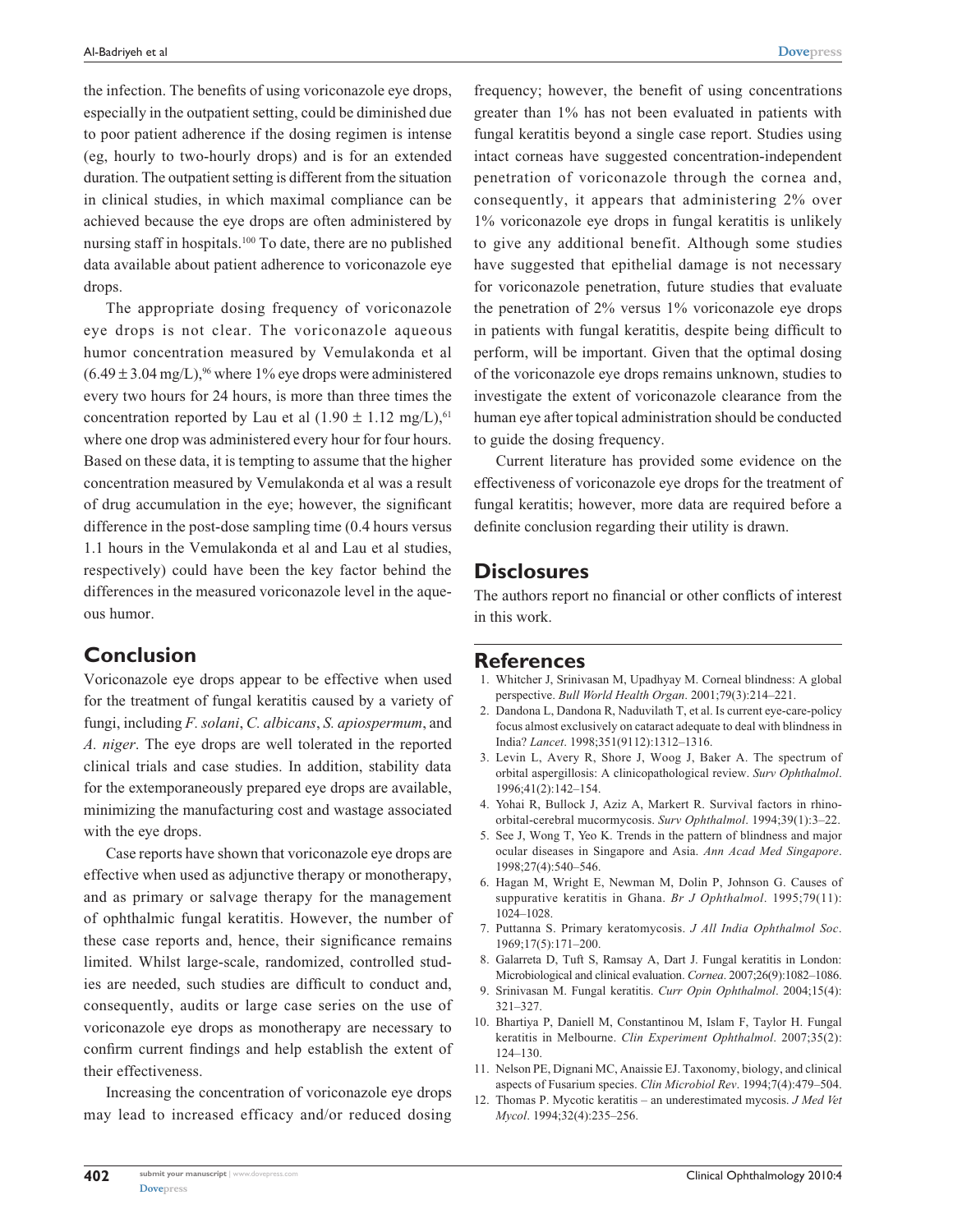the infection. The benefits of using voriconazole eye drops, especially in the outpatient setting, could be diminished due to poor patient adherence if the dosing regimen is intense (eg, hourly to two-hourly drops) and is for an extended duration. The outpatient setting is different from the situation in clinical studies, in which maximal compliance can be achieved because the eye drops are often administered by nursing staff in hospitals.100 To date, there are no published data available about patient adherence to voriconazole eye drops.

The appropriate dosing frequency of voriconazole eye drops is not clear. The voriconazole aqueous humor concentration measured by Vemulakonda et al  $(6.49 \pm 3.04 \text{ mg/L})$ ,<sup>96</sup> where 1% eye drops were administered every two hours for 24 hours, is more than three times the concentration reported by Lau et al  $(1.90 \pm 1.12 \text{ mg/L})$ ,<sup>61</sup> where one drop was administered every hour for four hours. Based on these data, it is tempting to assume that the higher concentration measured by Vemulakonda et al was a result of drug accumulation in the eye; however, the significant difference in the post-dose sampling time (0.4 hours versus 1.1 hours in the Vemulakonda et al and Lau et al studies, respectively) could have been the key factor behind the differences in the measured voriconazole level in the aqueous humor.

#### **Conclusion**

Voriconazole eye drops appear to be effective when used for the treatment of fungal keratitis caused by a variety of fungi, including *F. solani*, *C. albicans*, *S. apiospermum*, and *A. niger*. The eye drops are well tolerated in the reported clinical trials and case studies. In addition, stability data for the extemporaneously prepared eye drops are available, minimizing the manufacturing cost and wastage associated with the eye drops.

Case reports have shown that voriconazole eye drops are effective when used as adjunctive therapy or monotherapy, and as primary or salvage therapy for the management of ophthalmic fungal keratitis. However, the number of these case reports and, hence, their significance remains limited. Whilst large-scale, randomized, controlled studies are needed, such studies are difficult to conduct and, consequently, audits or large case series on the use of voriconazole eye drops as monotherapy are necessary to confirm current findings and help establish the extent of their effectiveness.

Increasing the concentration of voriconazole eye drops may lead to increased efficacy and/or reduced dosing

frequency; however, the benefit of using concentrations greater than 1% has not been evaluated in patients with fungal keratitis beyond a single case report. Studies using intact corneas have suggested concentration-independent penetration of voriconazole through the cornea and, consequently, it appears that administering 2% over 1% voriconazole eye drops in fungal keratitis is unlikely to give any additional benefit. Although some studies have suggested that epithelial damage is not necessary for voriconazole penetration, future studies that evaluate the penetration of 2% versus 1% voriconazole eye drops in patients with fungal keratitis, despite being difficult to perform, will be important. Given that the optimal dosing of the voriconazole eye drops remains unknown, studies to investigate the extent of voriconazole clearance from the human eye after topical administration should be conducted to guide the dosing frequency.

Current literature has provided some evidence on the effectiveness of voriconazole eye drops for the treatment of fungal keratitis; however, more data are required before a definite conclusion regarding their utility is drawn.

#### **Disclosures**

The authors report no financial or other conflicts of interest in this work.

#### **References**

- 1. Whitcher J, Srinivasan M, Upadhyay M. Corneal blindness: A global perspective. *Bull World Health Organ*. 2001;79(3):214–221.
- 2. Dandona L, Dandona R, Naduvilath T, et al. Is current eye-care-policy focus almost exclusively on cataract adequate to deal with blindness in India? *Lancet*. 1998;351(9112):1312–1316.
- 3. Levin L, Avery R, Shore J, Woog J, Baker A. The spectrum of orbital aspergillosis: A clinicopathological review. *Surv Ophthalmol*. 1996;41(2):142–154.
- 4. Yohai R, Bullock J, Aziz A, Markert R. Survival factors in rhinoorbital-cerebral mucormycosis. *Surv Ophthalmol*. 1994;39(1):3–22.
- 5. See J, Wong T, Yeo K. Trends in the pattern of blindness and major ocular diseases in Singapore and Asia. *Ann Acad Med Singapore*. 1998;27(4):540–546.
- 6. Hagan M, Wright E, Newman M, Dolin P, Johnson G. Causes of suppurative keratitis in Ghana. *Br J Ophthalmol*. 1995;79(11): 1024–1028.
- 7. Puttanna S. Primary keratomycosis. *J All India Ophthalmol Soc*. 1969;17(5):171–200.
- 8. Galarreta D, Tuft S, Ramsay A, Dart J. Fungal keratitis in London: Microbiological and clinical evaluation. *Cornea*. 2007;26(9):1082–1086.
- 9. Srinivasan M. Fungal keratitis. *Curr Opin Ophthalmol*. 2004;15(4): 321–327.
- 10. Bhartiya P, Daniell M, Constantinou M, Islam F, Taylor H. Fungal keratitis in Melbourne. *Clin Experiment Ophthalmol*. 2007;35(2): 124–130.
- 11. Nelson PE, Dignani MC, Anaissie EJ. Taxonomy, biology, and clinical aspects of Fusarium species. *Clin Microbiol Rev*. 1994;7(4):479–504.
- 12. Thomas P. Mycotic keratitis an underestimated mycosis. *J Med Vet Mycol*. 1994;32(4):235–256.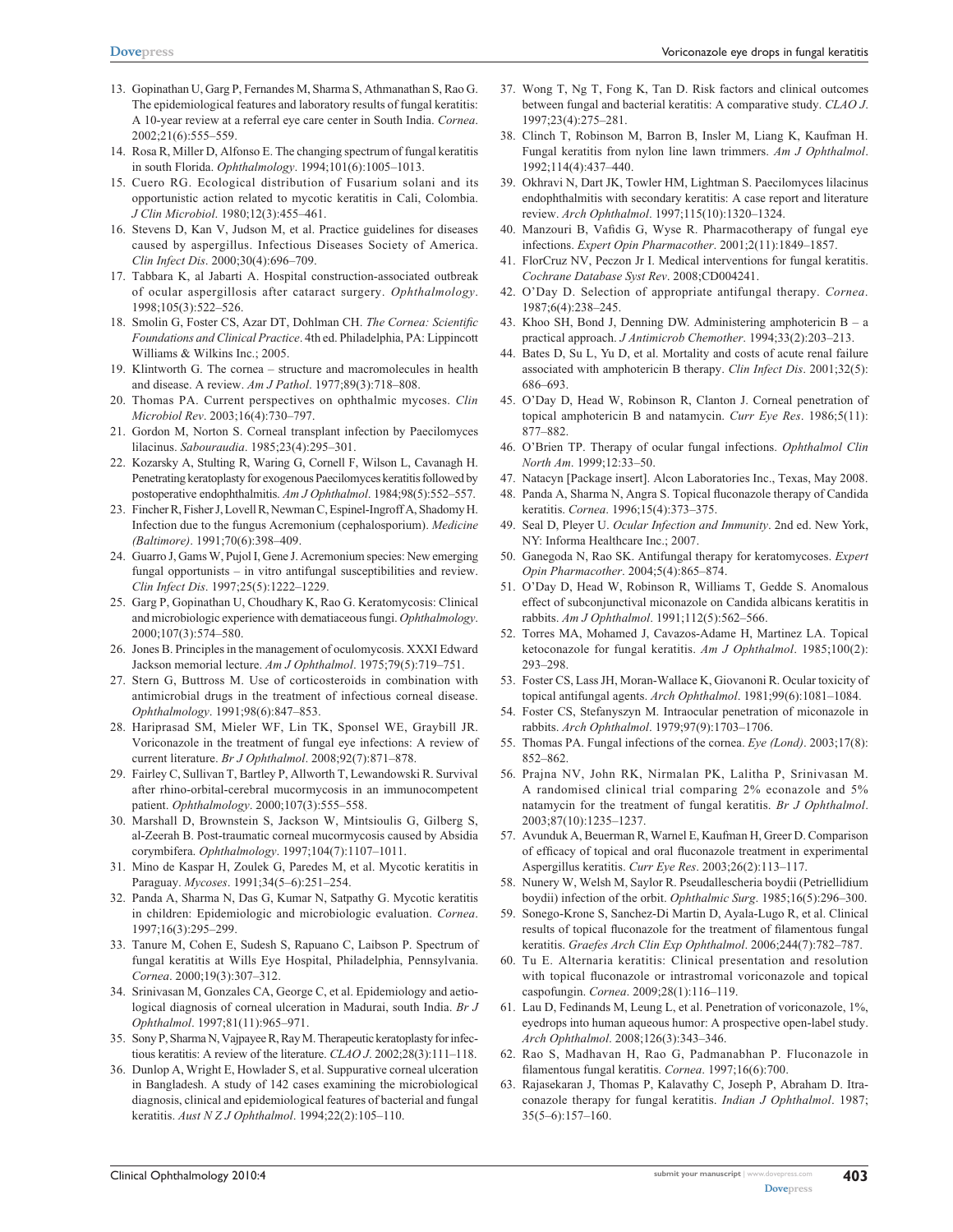- 13. Gopinathan U, Garg P, Fernandes M, Sharma S, Athmanathan S, Rao G. The epidemiological features and laboratory results of fungal keratitis: A 10-year review at a referral eye care center in South India. *Cornea*. 2002;21(6):555–559.
- 14. Rosa R, Miller D, Alfonso E. The changing spectrum of fungal keratitis in south Florida. *Ophthalmology*. 1994;101(6):1005–1013.
- 15. Cuero RG. Ecological distribution of Fusarium solani and its opportunistic action related to mycotic keratitis in Cali, Colombia. *J Clin Microbiol*. 1980;12(3):455–461.
- 16. Stevens D, Kan V, Judson M, et al. Practice guidelines for diseases caused by aspergillus. Infectious Diseases Society of America. *Clin Infect Dis*. 2000;30(4):696–709.
- 17. Tabbara K, al Jabarti A. Hospital construction-associated outbreak of ocular aspergillosis after cataract surgery. *Ophthalmology*. 1998;105(3):522–526.
- 18. Smolin G, Foster CS, Azar DT, Dohlman CH. *The Cornea: Scientific Foundations and Clinical Practice*. 4th ed. Philadelphia, PA: Lippincott Williams & Wilkins Inc.; 2005.
- 19. Klintworth G. The cornea structure and macromolecules in health and disease. A review. *Am J Pathol*. 1977;89(3):718–808.
- 20. Thomas PA. Current perspectives on ophthalmic mycoses. *Clin Microbiol Rev*. 2003;16(4):730–797.
- 21. Gordon M, Norton S. Corneal transplant infection by Paecilomyces lilacinus. *Sabouraudia*. 1985;23(4):295–301.
- 22. Kozarsky A, Stulting R, Waring G, Cornell F, Wilson L, Cavanagh H. Penetrating keratoplasty for exogenous Paecilomyces keratitis followed by postoperative endophthalmitis. *Am J Ophthalmol*. 1984;98(5):552–557.
- 23. Fincher R, Fisher J, Lovell R, Newman C, Espinel-Ingroff A, Shadomy H. Infection due to the fungus Acremonium (cephalosporium). *Medicine (Baltimore)*. 1991;70(6):398–409.
- 24. Guarro J, Gams W, Pujol I, Gene J. Acremonium species: New emerging fungal opportunists – in vitro antifungal susceptibilities and review. *Clin Infect Dis*. 1997;25(5):1222–1229.
- 25. Garg P, Gopinathan U, Choudhary K, Rao G. Keratomycosis: Clinical and microbiologic experience with dematiaceous fungi. *Ophthalmology*. 2000;107(3):574–580.
- 26. Jones B. Principles in the management of oculomycosis. XXXI Edward Jackson memorial lecture. *Am J Ophthalmol*. 1975;79(5):719–751.
- 27. Stern G, Buttross M. Use of corticosteroids in combination with antimicrobial drugs in the treatment of infectious corneal disease. *Ophthalmology*. 1991;98(6):847–853.
- 28. Hariprasad SM, Mieler WF, Lin TK, Sponsel WE, Graybill JR. Voriconazole in the treatment of fungal eye infections: A review of current literature. *Br J Ophthalmol*. 2008;92(7):871–878.
- 29. Fairley C, Sullivan T, Bartley P, Allworth T, Lewandowski R. Survival after rhino-orbital-cerebral mucormycosis in an immunocompetent patient. *Ophthalmology*. 2000;107(3):555–558.
- 30. Marshall D, Brownstein S, Jackson W, Mintsioulis G, Gilberg S, al-Zeerah B. Post-traumatic corneal mucormycosis caused by Absidia corymbifera. *Ophthalmology*. 1997;104(7):1107–1011.
- 31. Mino de Kaspar H, Zoulek G, Paredes M, et al. Mycotic keratitis in Paraguay. *Mycoses*. 1991;34(5–6):251–254.
- 32. Panda A, Sharma N, Das G, Kumar N, Satpathy G. Mycotic keratitis in children: Epidemiologic and microbiologic evaluation. *Cornea*. 1997;16(3):295–299.
- 33. Tanure M, Cohen E, Sudesh S, Rapuano C, Laibson P. Spectrum of fungal keratitis at Wills Eye Hospital, Philadelphia, Pennsylvania. *Cornea*. 2000;19(3):307–312.
- 34. Srinivasan M, Gonzales CA, George C, et al. Epidemiology and aetiological diagnosis of corneal ulceration in Madurai, south India. *Br J Ophthalmol*. 1997;81(11):965–971.
- 35. Sony P, Sharma N, Vajpayee R, Ray M. Therapeutic keratoplasty for infectious keratitis: A review of the literature. *CLAO J*. 2002;28(3):111–118.
- 36. Dunlop A, Wright E, Howlader S, et al. Suppurative corneal ulceration in Bangladesh. A study of 142 cases examining the microbiological diagnosis, clinical and epidemiological features of bacterial and fungal keratitis. *Aust N Z J Ophthalmol*. 1994;22(2):105–110.
- 37. Wong T, Ng T, Fong K, Tan D. Risk factors and clinical outcomes between fungal and bacterial keratitis: A comparative study. *CLAO J*. 1997;23(4):275–281.
- 38. Clinch T, Robinson M, Barron B, Insler M, Liang K, Kaufman H. Fungal keratitis from nylon line lawn trimmers. *Am J Ophthalmol*. 1992;114(4):437–440.
- 39. Okhravi N, Dart JK, Towler HM, Lightman S. Paecilomyces lilacinus endophthalmitis with secondary keratitis: A case report and literature review. *Arch Ophthalmol*. 1997;115(10):1320–1324.
- 40. Manzouri B, Vafidis G, Wyse R. Pharmacotherapy of fungal eye infections. *Expert Opin Pharmacother*. 2001;2(11):1849–1857.
- 41. FlorCruz NV, Peczon Jr I. Medical interventions for fungal keratitis. *Cochrane Database Syst Rev*. 2008;CD004241.
- 42. O'Day D. Selection of appropriate antifungal therapy. *Cornea*. 1987;6(4):238–245.
- 43. Khoo SH, Bond J, Denning DW. Administering amphotericin B a practical approach. *J Antimicrob Chemother*. 1994;33(2):203–213.
- 44. Bates D, Su L, Yu D, et al. Mortality and costs of acute renal failure associated with amphotericin B therapy. *Clin Infect Dis*. 2001;32(5): 686–693.
- 45. O'Day D, Head W, Robinson R, Clanton J. Corneal penetration of topical amphotericin B and natamycin. *Curr Eye Res*. 1986;5(11): 877–882.
- 46. O'Brien TP. Therapy of ocular fungal infections. *Ophthalmol Clin North Am*. 1999;12:33–50.
- 47. Natacyn [Package insert]. Alcon Laboratories Inc., Texas, May 2008.
- 48. Panda A, Sharma N, Angra S. Topical fluconazole therapy of Candida keratitis. *Cornea*. 1996;15(4):373–375.
- 49. Seal D, Pleyer U. *Ocular Infection and Immunity*. 2nd ed. New York, NY: Informa Healthcare Inc.; 2007.
- 50. Ganegoda N, Rao SK. Antifungal therapy for keratomycoses. *Expert Opin Pharmacother*. 2004;5(4):865–874.
- 51. O'Day D, Head W, Robinson R, Williams T, Gedde S. Anomalous effect of subconjunctival miconazole on Candida albicans keratitis in rabbits. *Am J Ophthalmol*. 1991;112(5):562–566.
- 52. Torres MA, Mohamed J, Cavazos-Adame H, Martinez LA. Topical ketoconazole for fungal keratitis. *Am J Ophthalmol*. 1985;100(2): 293–298.
- 53. Foster CS, Lass JH, Moran-Wallace K, Giovanoni R. Ocular toxicity of topical antifungal agents. *Arch Ophthalmol*. 1981;99(6):1081–1084.
- 54. Foster CS, Stefanyszyn M. Intraocular penetration of miconazole in rabbits. *Arch Ophthalmol*. 1979;97(9):1703–1706.
- 55. Thomas PA. Fungal infections of the cornea. *Eye (Lond)*. 2003;17(8): 852–862.
- 56. Prajna NV, John RK, Nirmalan PK, Lalitha P, Srinivasan M. A randomised clinical trial comparing 2% econazole and 5% natamycin for the treatment of fungal keratitis. *Br J Ophthalmol*. 2003;87(10):1235–1237.
- 57. Avunduk A, Beuerman R, Warnel E, Kaufman H, Greer D. Comparison of efficacy of topical and oral fluconazole treatment in experimental Aspergillus keratitis. *Curr Eye Res*. 2003;26(2):113–117.
- 58. Nunery W, Welsh M, Saylor R. Pseudallescheria boydii (Petriellidium boydii) infection of the orbit. *Ophthalmic Surg*. 1985;16(5):296–300.
- 59. Sonego-Krone S, Sanchez-Di Martin D, Ayala-Lugo R, et al. Clinical results of topical fluconazole for the treatment of filamentous fungal keratitis. *Graefes Arch Clin Exp Ophthalmol*. 2006;244(7):782–787.
- 60. Tu E. Alternaria keratitis: Clinical presentation and resolution with topical fluconazole or intrastromal voriconazole and topical caspofungin. *Cornea*. 2009;28(1):116–119.
- 61. Lau D, Fedinands M, Leung L, et al. Penetration of voriconazole, 1%, eyedrops into human aqueous humor: A prospective open-label study. *Arch Ophthalmol*. 2008;126(3):343–346.
- 62. Rao S, Madhavan H, Rao G, Padmanabhan P. Fluconazole in filamentous fungal keratitis. *Cornea*. 1997;16(6):700.
- 63. Rajasekaran J, Thomas P, Kalavathy C, Joseph P, Abraham D. Itraconazole therapy for fungal keratitis. *Indian J Ophthalmol*. 1987; 35(5–6):157–160.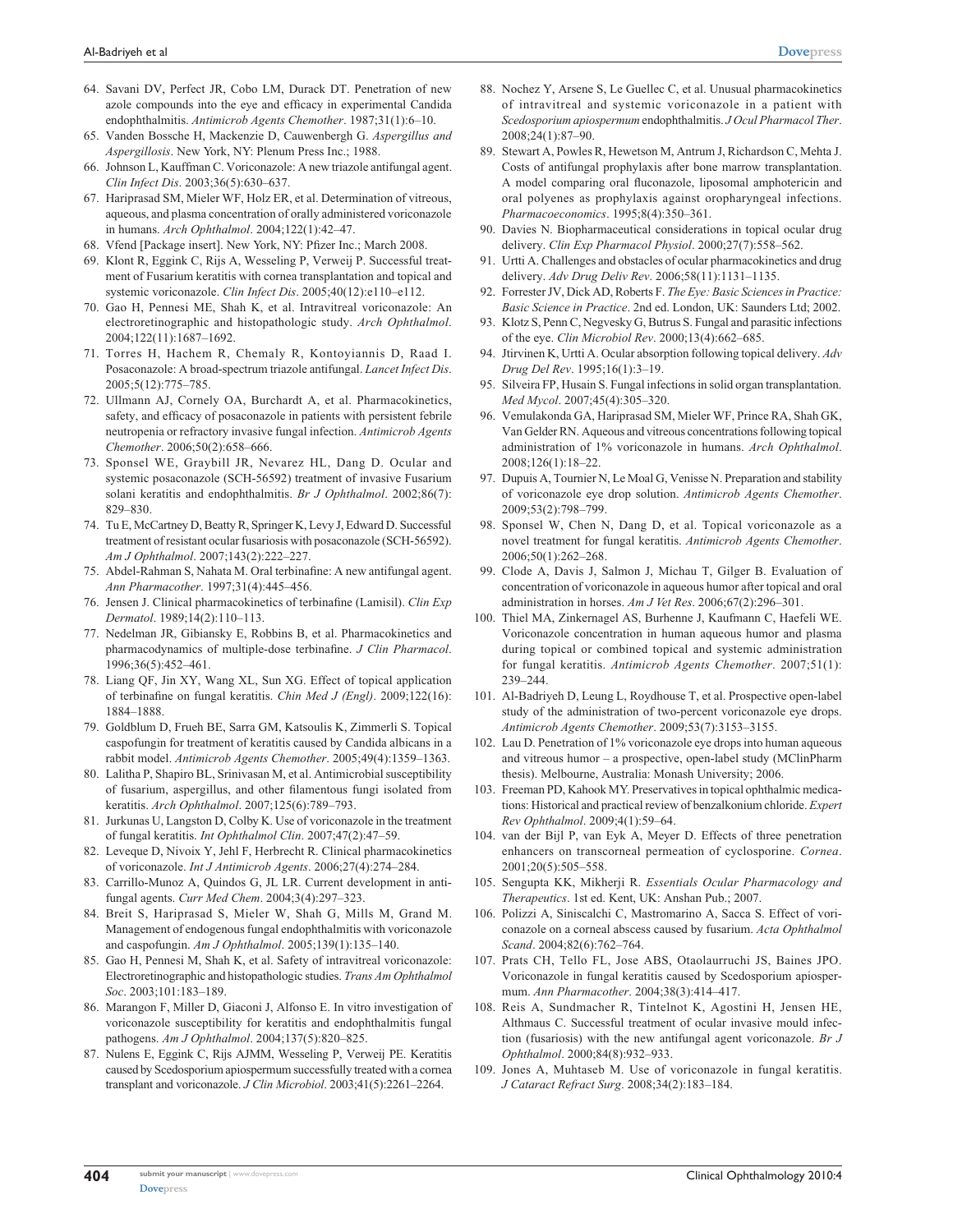- 64. Savani DV, Perfect JR, Cobo LM, Durack DT. Penetration of new azole compounds into the eye and efficacy in experimental Candida endophthalmitis. *Antimicrob Agents Chemother*. 1987;31(1):6–10.
- 65. Vanden Bossche H, Mackenzie D, Cauwenbergh G. *Aspergillus and Aspergillosis*. New York, NY: Plenum Press Inc.; 1988.
- 66. Johnson L, Kauffman C. Voriconazole: A new triazole antifungal agent. *Clin Infect Dis*. 2003;36(5):630–637.
- 67. Hariprasad SM, Mieler WF, Holz ER, et al. Determination of vitreous, aqueous, and plasma concentration of orally administered voriconazole in humans. *Arch Ophthalmol*. 2004;122(1):42–47.
- 68. Vfend [Package insert]. New York, NY: Pfizer Inc.; March 2008.
- 69. Klont R, Eggink C, Rijs A, Wesseling P, Verweij P. Successful treatment of Fusarium keratitis with cornea transplantation and topical and systemic voriconazole. *Clin Infect Dis*. 2005;40(12):e110–e112.
- 70. Gao H, Pennesi ME, Shah K, et al. Intravitreal voriconazole: An electroretinographic and histopathologic study. *Arch Ophthalmol*. 2004;122(11):1687–1692.
- 71. Torres H, Hachem R, Chemaly R, Kontoyiannis D, Raad I. Posaconazole: A broad-spectrum triazole antifungal. *Lancet Infect Dis*. 2005;5(12):775–785.
- 72. Ullmann AJ, Cornely OA, Burchardt A, et al. Pharmacokinetics, safety, and efficacy of posaconazole in patients with persistent febrile neutropenia or refractory invasive fungal infection. *Antimicrob Agents Chemother*. 2006;50(2):658–666.
- 73. Sponsel WE, Graybill JR, Nevarez HL, Dang D. Ocular and systemic posaconazole (SCH-56592) treatment of invasive Fusarium solani keratitis and endophthalmitis. *Br J Ophthalmol*. 2002;86(7): 829–830.
- 74. Tu E, McCartney D, Beatty R, Springer K, Levy J, Edward D. Successful treatment of resistant ocular fusariosis with posaconazole (SCH-56592). *Am J Ophthalmol*. 2007;143(2):222–227.
- 75. Abdel-Rahman S, Nahata M. Oral terbinafine: A new antifungal agent. *Ann Pharmacother*. 1997;31(4):445–456.
- 76. Jensen J. Clinical pharmacokinetics of terbinafine (Lamisil). *Clin Exp Dermatol*. 1989;14(2):110–113.
- 77. Nedelman JR, Gibiansky E, Robbins B, et al. Pharmacokinetics and pharmacodynamics of multiple-dose terbinafine. *J Clin Pharmacol*. 1996;36(5):452–461.
- 78. Liang QF, Jin XY, Wang XL, Sun XG. Effect of topical application of terbinafine on fungal keratitis. *Chin Med J (Engl)*. 2009;122(16): 1884–1888.
- 79. Goldblum D, Frueh BE, Sarra GM, Katsoulis K, Zimmerli S. Topical caspofungin for treatment of keratitis caused by Candida albicans in a rabbit model. *Antimicrob Agents Chemother*. 2005;49(4):1359–1363.
- 80. Lalitha P, Shapiro BL, Srinivasan M, et al. Antimicrobial susceptibility of fusarium, aspergillus, and other filamentous fungi isolated from keratitis. *Arch Ophthalmol*. 2007;125(6):789–793.
- 81. Jurkunas U, Langston D, Colby K. Use of voriconazole in the treatment of fungal keratitis. *Int Ophthalmol Clin*. 2007;47(2):47–59.
- 82. Leveque D, Nivoix Y, Jehl F, Herbrecht R. Clinical pharmacokinetics of voriconazole. *Int J Antimicrob Agents*. 2006;27(4):274–284.
- 83. Carrillo-Munoz A, Quindos G, JL LR. Current development in antifungal agents. *Curr Med Chem*. 2004;3(4):297–323.
- 84. Breit S, Hariprasad S, Mieler W, Shah G, Mills M, Grand M. Management of endogenous fungal endophthalmitis with voriconazole and caspofungin. *Am J Ophthalmol*. 2005;139(1):135–140.
- 85. Gao H, Pennesi M, Shah K, et al. Safety of intravitreal voriconazole: Electroretinographic and histopathologic studies. *Trans Am Ophthalmol Soc*. 2003;101:183–189.
- 86. Marangon F, Miller D, Giaconi J, Alfonso E. In vitro investigation of voriconazole susceptibility for keratitis and endophthalmitis fungal pathogens. *Am J Ophthalmol*. 2004;137(5):820–825.
- 87. Nulens E, Eggink C, Rijs AJMM, Wesseling P, Verweij PE. Keratitis caused by Scedosporium apiospermum successfully treated with a cornea transplant and voriconazole. *J Clin Microbiol*. 2003;41(5):2261–2264.
- 88. Nochez Y, Arsene S, Le Guellec C, et al. Unusual pharmacokinetics of intravitreal and systemic voriconazole in a patient with *Scedosporium apiospermum* endophthalmitis. *J Ocul Pharmacol Ther*. 2008;24(1):87–90.
- 89. Stewart A, Powles R, Hewetson M, Antrum J, Richardson C, Mehta J. Costs of antifungal prophylaxis after bone marrow transplantation. A model comparing oral fluconazole, liposomal amphotericin and oral polyenes as prophylaxis against oropharyngeal infections. *Pharmacoeconomics*. 1995;8(4):350–361.
- 90. Davies N. Biopharmaceutical considerations in topical ocular drug delivery. *Clin Exp Pharmacol Physiol*. 2000;27(7):558–562.
- 91. Urtti A. Challenges and obstacles of ocular pharmacokinetics and drug delivery. *Adv Drug Deliv Rev*. 2006;58(11):1131–1135.
- 92. Forrester JV, Dick AD, Roberts F. *The Eye: Basic Sciences in Practice: Basic Science in Practice*. 2nd ed. London, UK: Saunders Ltd; 2002.
- 93. Klotz S, Penn C, Negvesky G, Butrus S. Fungal and parasitic infections of the eye. *Clin Microbiol Rev*. 2000;13(4):662–685.
- 94. Jtirvinen K, Urtti A. Ocular absorption following topical delivery. *Adv Drug Del Rev*. 1995;16(1):3–19.
- 95. Silveira FP, Husain S. Fungal infections in solid organ transplantation. *Med Mycol*. 2007;45(4):305–320.
- 96. Vemulakonda GA, Hariprasad SM, Mieler WF, Prince RA, Shah GK, Van Gelder RN. Aqueous and vitreous concentrations following topical administration of 1% voriconazole in humans. *Arch Ophthalmol*. 2008;126(1):18–22.
- 97. Dupuis A, Tournier N, Le Moal G, Venisse N. Preparation and stability of voriconazole eye drop solution. *Antimicrob Agents Chemother*. 2009;53(2):798–799.
- 98. Sponsel W, Chen N, Dang D, et al. Topical voriconazole as a novel treatment for fungal keratitis. *Antimicrob Agents Chemother*. 2006;50(1):262–268.
- 99. Clode A, Davis J, Salmon J, Michau T, Gilger B. Evaluation of concentration of voriconazole in aqueous humor after topical and oral administration in horses. *Am J Vet Res*. 2006;67(2):296–301.
- 100. Thiel MA, Zinkernagel AS, Burhenne J, Kaufmann C, Haefeli WE. Voriconazole concentration in human aqueous humor and plasma during topical or combined topical and systemic administration for fungal keratitis. *Antimicrob Agents Chemother*. 2007;51(1): 239–244.
- 101. Al-Badriyeh D, Leung L, Roydhouse T, et al. Prospective open-label study of the administration of two-percent voriconazole eye drops. *Antimicrob Agents Chemother*. 2009;53(7):3153–3155.
- 102. Lau D. Penetration of 1% voriconazole eye drops into human aqueous and vitreous humor – a prospective, open-label study (MClinPharm thesis). Melbourne, Australia: Monash University; 2006.
- 103. Freeman PD, Kahook MY. Preservatives in topical ophthalmic medications: Historical and practical review of benzalkonium chloride. *Expert Rev Ophthalmol*. 2009;4(1):59–64.
- 104. van der Bijl P, van Eyk A, Meyer D. Effects of three penetration enhancers on transcorneal permeation of cyclosporine. *Cornea*. 2001;20(5):505–558.
- 105. Sengupta KK, Mikherji R. *Essentials Ocular Pharmacology and Therapeutics*. 1st ed. Kent, UK: Anshan Pub.; 2007.
- 106. Polizzi A, Siniscalchi C, Mastromarino A, Sacca S. Effect of voriconazole on a corneal abscess caused by fusarium. *Acta Ophthalmol Scand*. 2004;82(6):762–764.
- 107. Prats CH, Tello FL, Jose ABS, Otaolaurruchi JS, Baines JPO. Voriconazole in fungal keratitis caused by Scedosporium apiospermum. *Ann Pharmacother*. 2004;38(3):414–417.
- 108. Reis A, Sundmacher R, Tintelnot K, Agostini H, Jensen HE, Althmaus C. Successful treatment of ocular invasive mould infection (fusariosis) with the new antifungal agent voriconazole. *Br J Ophthalmol*. 2000;84(8):932–933.
- 109. Jones A, Muhtaseb M. Use of voriconazole in fungal keratitis. *J Cataract Refract Surg*. 2008;34(2):183–184.